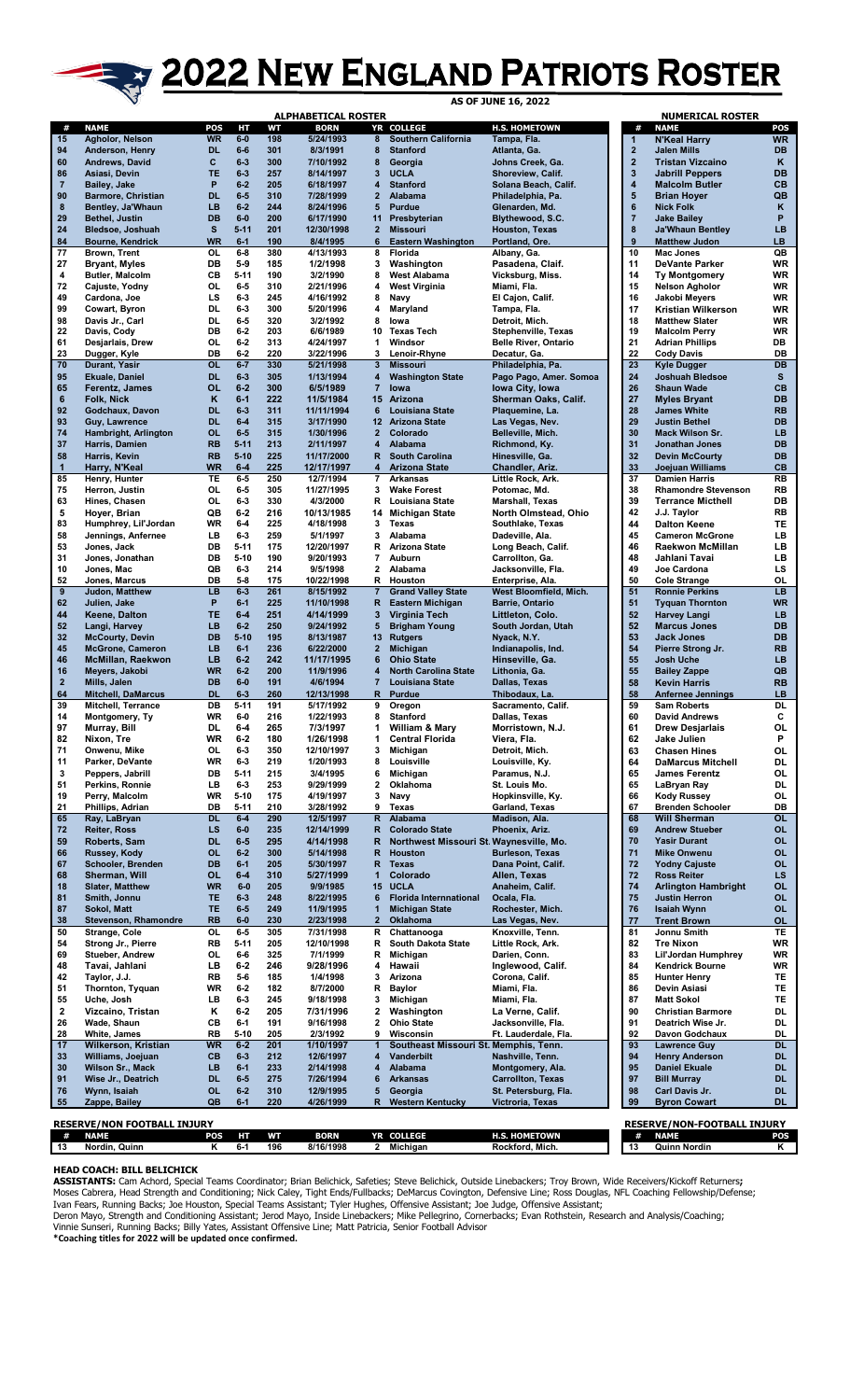## **AS ASSESSED PARALLEL PROPER PATRIOTS ROSTER**

|                                                                                                                                                                                   |                                                |                        |                      |            | <b>ALPHABETICAL ROSTER</b> |                         |                                                           |                                                  |                              | <b>NUMERICAL ROSTER</b>                                |                        |
|-----------------------------------------------------------------------------------------------------------------------------------------------------------------------------------|------------------------------------------------|------------------------|----------------------|------------|----------------------------|-------------------------|-----------------------------------------------------------|--------------------------------------------------|------------------------------|--------------------------------------------------------|------------------------|
| #                                                                                                                                                                                 | <b>NAME</b>                                    | POS                    | HТ                   | WТ         | <b>BORN</b>                |                         | YR COLLEGE                                                | <b>H.S. HOMETOWN</b>                             | #                            | <b>NAME</b>                                            | POS                    |
| 15<br>94                                                                                                                                                                          | Agholor, Nelson<br>Anderson, Henry             | <b>WR</b><br><b>DL</b> | $6-0$<br>$6-6$       | 198<br>301 | 5/24/1993<br>8/3/1991      | 8<br>8                  | <b>Southern California</b><br><b>Stanford</b>             | Tampa, Fla.<br>Atlanta, Ga.                      | 1<br>$\overline{\mathbf{2}}$ | <b>N'Keal Harry</b><br>Jalen Mills                     | <b>WR</b><br><b>DB</b> |
| 60                                                                                                                                                                                | Andrews, David                                 | c                      | $6 - 3$              | 300        | 7/10/1992                  | 8                       | Georgia                                                   | Johns Creek, Ga.                                 | $\overline{\mathbf{2}}$      | <b>Tristan Vizcaino</b>                                | Κ                      |
| 86                                                                                                                                                                                | Asiasi, Devin                                  | TE                     | $6 - 3$              | 257        | 8/14/1997                  | 3                       | <b>UCLA</b>                                               | Shoreview, Calif.                                | 3                            | <b>Jabrill Peppers</b>                                 | <b>DB</b>              |
| $\overline{7}$                                                                                                                                                                    | Bailey, Jake                                   | P<br><b>DL</b>         | $6 - 2$<br>$6-5$     | 205        | 6/18/1997                  | 4                       | <b>Stanford</b>                                           | Solana Beach, Calif.                             | 4<br>5                       | <b>Malcolm Butler</b>                                  | <b>CB</b>              |
| 90<br>8                                                                                                                                                                           | <b>Barmore, Christian</b><br>Bentley, Ja'Whaun | LB                     | $6 - 2$              | 310<br>244 | 7/28/1999<br>8/24/1996     | $\overline{2}$<br>5     | Alabama<br><b>Purdue</b>                                  | Philadelphia, Pa.<br>Glenarden, Md.              | $6\phantom{1}6$              | <b>Brian Hoyer</b><br><b>Nick Folk</b>                 | QB<br>κ                |
| 29                                                                                                                                                                                | <b>Bethel, Justin</b>                          | <b>DB</b>              | $6-0$                | 200        | 6/17/1990                  | 11                      | Presbyterian                                              | Blythewood, S.C.                                 | $\overline{7}$               | <b>Jake Bailey</b>                                     | P                      |
| 24                                                                                                                                                                                | Bledsoe, Joshuah                               | s                      | $5 - 11$             | 201        | 12/30/1998                 | $\overline{2}$          | <b>Missouri</b>                                           | Houston, Texas                                   | 8                            | <b>Ja'Whaun Bentley</b>                                | LB                     |
| 84                                                                                                                                                                                | <b>Bourne, Kendrick</b>                        | <b>WR</b>              | $6 - 1$              | 190        | 8/4/1995                   | 6                       | <b>Eastern Washington</b>                                 | Portland, Ore.                                   | 9                            | <b>Matthew Judon</b>                                   | LB                     |
| 77<br>27                                                                                                                                                                          | Brown, Trent<br><b>Bryant, Myles</b>           | <b>OL</b><br>DB        | $6-8$<br>$5-9$       | 380<br>185 | 4/13/1993<br>1/2/1998      | 8<br>3                  | Florida<br>Washington                                     | Albany, Ga.<br>Pasadena, Claif.                  | 10<br>11                     | Mac Jones<br><b>DeVante Parker</b>                     | QB<br>WR               |
| 4                                                                                                                                                                                 | <b>Butler, Malcolm</b>                         | CB                     | $5 - 11$             | 190        | 3/2/1990                   | 8                       | <b>West Alabama</b>                                       | Vicksburg, Miss.                                 | 14                           | <b>Ty Montgomery</b>                                   | <b>WR</b>              |
| 72                                                                                                                                                                                | Cajuste, Yodny                                 | 0L                     | $6-5$                | 310        | 2/21/1996                  | 4                       | <b>West Virginia</b>                                      | Miami, Fla.                                      | 15                           | <b>Nelson Agholor</b>                                  | WR                     |
| 49                                                                                                                                                                                | Cardona, Joe                                   | LS                     | $6-3$                | 245        | 4/16/1992                  | 8                       | Navy                                                      | El Cajon, Calif.                                 | 16                           | Jakobi Meyers                                          | WR                     |
| 99<br>98                                                                                                                                                                          | Cowart, Byron<br>Davis Jr., Carl               | <b>DL</b><br><b>DL</b> | $6-3$<br>$6-5$       | 300<br>320 | 5/20/1996<br>3/2/1992      | 4<br>8                  | Maryland<br>lowa                                          | Tampa, Fla.<br>Detroit, Mich.                    | 17<br>18                     | Kristian Wilkerson<br><b>Matthew Slater</b>            | <b>WR</b><br>WR        |
| 22                                                                                                                                                                                | Davis, Cody                                    | DB                     | $6-2$                | 203        | 6/6/1989                   | 10                      | <b>Texas Tech</b>                                         | Stephenville, Texas                              | 19                           | <b>Malcolm Perry</b>                                   | WR                     |
| 61                                                                                                                                                                                | Desjarlais, Drew                               | <b>OL</b>              | $6-2$                | 313        | 4/24/1997                  | 1                       | Windsor                                                   | <b>Belle River, Ontario</b>                      | 21                           | <b>Adrian Phillips</b>                                 | DB                     |
| 23                                                                                                                                                                                | Dugger, Kyle                                   | DB                     | $6-2$                | 220        | 3/22/1996                  | 3                       | Lenoir-Rhyne                                              | Decatur, Ga.                                     | 22                           | <b>Cody Davis</b>                                      | DB                     |
| 70<br>95                                                                                                                                                                          | Durant, Yasir<br><b>Ekuale, Daniel</b>         | <b>OL</b><br><b>DL</b> | $6 - 7$<br>$6-3$     | 330<br>305 | 5/21/1998<br>1/13/1994     | $\mathbf{3}$<br>4       | <b>Missouri</b><br><b>Washington State</b>                | Philadelphia, Pa.<br>Pago Pago, Amer. Somoa      | 23<br>24                     | <b>Kyle Dugger</b><br><b>Joshuah Bledsoe</b>           | <b>DB</b><br>s         |
| 65                                                                                                                                                                                | Ferentz, James                                 | <b>OL</b>              | $6 - 2$              | 300        | 6/5/1989                   | $\overline{7}$          | lowa                                                      | Iowa City, Iowa                                  | 26                           | <b>Shaun Wade</b>                                      | CB                     |
| 6                                                                                                                                                                                 | <b>Folk, Nick</b>                              | Κ                      | $6-1$                | 222        | 11/5/1984                  |                         | 15 Arizona                                                | Sherman Oaks, Calif.                             | 27                           | <b>Myles Bryant</b>                                    | <b>DB</b>              |
| 92                                                                                                                                                                                | Godchaux, Davon                                | <b>DL</b>              | $6 - 3$              | 311        | 11/11/1994                 | 6                       | <b>Louisiana State</b>                                    | Plaquemine, La.                                  | 28                           | <b>James White</b>                                     | <b>RB</b>              |
| 93<br>74                                                                                                                                                                          | Guy, Lawrence<br>Hambright, Arlington          | <b>DL</b><br><b>OL</b> | $6 - 4$<br>$6-5$     | 315<br>315 | 3/17/1990<br>1/30/1996     | 2 <sup>1</sup>          | 12 Arizona State<br>Colorado                              | Las Vegas, Nev.<br>Belleville, Mich.             | 29<br>30                     | <b>Justin Bethel</b><br>Mack Wilson Sr.                | <b>DB</b><br><b>LB</b> |
| 37                                                                                                                                                                                | Harris, Damien                                 | <b>RB</b>              | $5 - 11$             | 213        | 2/11/1997                  | 4                       | Alabama                                                   | Richmond, Ky.                                    | 31                           | <b>Jonathan Jones</b>                                  | <b>DB</b>              |
| 58                                                                                                                                                                                | Harris, Kevin                                  | <b>RB</b>              | $5 - 10$             | 225        | 11/17/2000                 | R                       | <b>South Carolina</b>                                     | Hinesville, Ga.                                  | 32                           | <b>Devin McCourty</b>                                  | <b>DB</b>              |
| $\mathbf{1}$                                                                                                                                                                      | Harry, N'Keal                                  | <b>WR</b>              | $6-4$                | 225        | 12/17/1997                 | 4                       | <b>Arizona State</b>                                      | Chandler, Ariz.                                  | 33                           | <b>Joejuan Williams</b>                                | CB                     |
| 85                                                                                                                                                                                | Henry, Hunter                                  | TE                     | $6-5$                | 250        | 12/7/1994                  | 7                       | <b>Arkansas</b><br><b>Wake Forest</b>                     | Little Rock, Ark.                                | 37                           | <b>Damien Harris</b>                                   | <b>RB</b>              |
| 75<br>63                                                                                                                                                                          | Herron, Justin<br>Hines, Chasen                | OL<br>OL               | $6-5$<br>$6-3$       | 305<br>330 | 11/27/1995<br>4/3/2000     | 3<br>R                  | Louisiana State                                           | Potomac, Md.<br>Marshall, Texas                  | 38<br>39                     | <b>Rhamondre Stevenson</b><br><b>Terrance Micthell</b> | <b>RB</b><br>DB        |
| 5                                                                                                                                                                                 | Hoyer, Brian                                   | QB                     | $6-2$                | 216        | 10/13/1985                 |                         | 14 Michigan State                                         | North Olmstead, Ohio                             | 42                           | J.J. Taylor                                            | <b>RB</b>              |
| 83                                                                                                                                                                                | Humphrey, Lil'Jordan                           | WR                     | $6-4$                | 225        | 4/18/1998                  | 3                       | Texas                                                     | Southlake, Texas                                 | 44                           | <b>Dalton Keene</b>                                    | TE                     |
| 58                                                                                                                                                                                | Jennings, Anfernee                             | LB                     | $6-3$                | 259        | 5/1/1997                   | 3                       | Alabama                                                   | Dadeville, Ala.                                  | 45                           | <b>Cameron McGrone</b>                                 | LB                     |
| 53<br>31                                                                                                                                                                          | Jones, Jack<br>Jones, Jonathan                 | DB<br>DB               | $5 - 11$<br>$5 - 10$ | 175<br>190 | 12/20/1997<br>9/20/1993    | R<br>7                  | <b>Arizona State</b><br>Auburn                            | Long Beach, Calif.<br>Carrollton, Ga.            | 46<br>48                     | Raekwon McMillan<br>Jahlani Tavai                      | LВ<br>LВ               |
| 10                                                                                                                                                                                | Jones, Mac                                     | QB                     | $6-3$                | 214        | 9/5/1998                   | 2                       | Alabama                                                   | Jacksonville, Fla.                               | 49                           | <b>Joe Cardona</b>                                     | LS                     |
| 52                                                                                                                                                                                | Jones, Marcus                                  | DB                     | $5-8$                | 175        | 10/22/1998                 | R                       | Houston                                                   | Enterprise, Ala.                                 | 50                           | <b>Cole Strange</b>                                    | <b>OL</b>              |
| 9                                                                                                                                                                                 | Judon, Matthew                                 | LB                     | $6 - 3$              | 261        | 8/15/1992                  | $\overline{7}$          | <b>Grand Valley State</b>                                 | West Bloomfield, Mich.                           | 51                           | <b>Ronnie Perkins</b>                                  | <b>LB</b>              |
| 62<br>44                                                                                                                                                                          | Julien, Jake                                   | P<br>TE                | $6 - 1$<br>$6-4$     | 225<br>251 | 11/10/1998<br>4/14/1999    | R.<br>3                 | <b>Eastern Michigan</b>                                   | Barrie, Ontario                                  | 51<br>52                     | <b>Tyquan Thornton</b>                                 | <b>WR</b><br><b>LB</b> |
| 52                                                                                                                                                                                | Keene, Dalton<br>Langi, Harvey                 | LB                     | $6 - 2$              | 250        | 9/24/1992                  | 5                       | Virginia Tech<br><b>Brigham Young</b>                     | Littleton, Colo.<br>South Jordan, Utah           | 52                           | <b>Harvey Langi</b><br><b>Marcus Jones</b>             | <b>DB</b>              |
| 32                                                                                                                                                                                | <b>McCourty, Devin</b>                         | <b>DB</b>              | $5 - 10$             | 195        | 8/13/1987                  | 13                      | <b>Rutgers</b>                                            | Nyack, N.Y.                                      | 53                           | <b>Jack Jones</b>                                      | <b>DB</b>              |
| 45                                                                                                                                                                                | <b>McGrone, Cameron</b>                        | <b>LB</b>              | $6-1$                | 236        | 6/22/2000                  | $\overline{\mathbf{2}}$ | Michigan                                                  | Indianapolis, Ind.                               | 54                           | Pierre Strong Jr.                                      | <b>RB</b>              |
| 46                                                                                                                                                                                | <b>McMillan, Raekwon</b>                       | LB                     | $6 - 2$<br>$6 - 2$   | 242<br>200 | 11/17/1995                 | 6                       | <b>Ohio State</b>                                         | Hinseville, Ga.                                  | 55<br>55                     | Josh Uche                                              | <b>LB</b><br>QB        |
| 16<br>$\mathbf{2}$                                                                                                                                                                | Meyers, Jakobi<br>Mills, Jalen                 | <b>WR</b><br><b>DB</b> | $6-0$                | 191        | 11/9/1996<br>4/6/1994      | 4<br>$\overline{7}$     | <b>North Carolina State</b><br><b>Louisiana State</b>     | Lithonia, Ga.<br>Dallas, Texas                   | 58                           | <b>Bailey Zappe</b><br><b>Kevin Harris</b>             | <b>RB</b>              |
| 64                                                                                                                                                                                | <b>Mitchell, DaMarcus</b>                      | <b>DL</b>              | $6 - 3$              | 260        | 12/13/1998                 | R                       | <b>Purdue</b>                                             | Thibodaux, La.                                   | 58                           | <b>Anfernee Jennings</b>                               | <b>LB</b>              |
| 39                                                                                                                                                                                | Mitchell, Terrance                             | DB                     | $5 - 11$             | 191        | 5/17/1992                  | 9                       | Oregon                                                    | Sacramento, Calif.                               | 59                           | <b>Sam Roberts</b>                                     | <b>DL</b>              |
| 14                                                                                                                                                                                | Montgomery, Ty                                 | <b>WR</b>              | $6-0$                | 216        | 1/22/1993                  | 8                       | <b>Stanford</b>                                           | Dallas, Texas                                    | 60                           | <b>David Andrews</b>                                   | C                      |
| 97<br>82                                                                                                                                                                          | Murray, Bill<br>Nixon, Tre                     | DL<br>WR               | 6-4<br>$6-2$         | 265<br>180 | 7/3/1997<br>1/26/1998      | 1.                      | William & Mary<br><b>Central Florida</b>                  | Morristown, N.J.<br>Viera, Fla.                  | 61<br>62                     | <b>Drew Desjarlais</b><br>Jake Julien                  | OL<br>P                |
| 71                                                                                                                                                                                | Onwenu, Mike                                   | OL                     | $6 - 3$              | 350        | 12/10/1997                 | 3                       | Michigan                                                  | Detroit, Mich.                                   | 63                           | <b>Chasen Hines</b>                                    | OL                     |
| 11                                                                                                                                                                                | Parker, DeVante                                | WR                     | $6 - 3$              | 219        | 1/20/1993                  | 8                       | Louisville                                                | Louisville, Ky.                                  | 64                           | <b>DaMarcus Mitchell</b>                               | DL                     |
| 3                                                                                                                                                                                 | Peppers, Jabrill                               | DB                     | $5 - 11$             | 215        | 3/4/1995                   | 6                       | Michigan                                                  | Paramus, N.J.                                    | 65                           | <b>James Ferentz</b>                                   | 0L                     |
| 51<br>19                                                                                                                                                                          | Perkins, Ronnie<br>Perry, Malcolm              | LB<br>WR               | $6 - 3$<br>$5-10$    | 253<br>175 | 9/29/1999<br>4/19/1997     | 2<br>3                  | Oklahoma<br>Navy                                          | St. Louis Mo.<br>Hopkinsville, Ky.               | 65<br>66                     | LaBryan Ray<br><b>Kody Russey</b>                      | DL<br>0L               |
| 21                                                                                                                                                                                | Phillips, Adrian                               | DB                     | $5 - 11$             | 210        | 3/28/1992                  | 9                       | Texas                                                     | Garland, Texas                                   | 67                           | <b>Brenden Schooler</b>                                | DB                     |
| 65                                                                                                                                                                                | Ray, LaBryan                                   | <b>DL</b>              | $6-4$                | 290        | 12/5/1997                  | $\mathbf R$             | <b>Alabama</b>                                            | Madison, Ala.                                    | 68                           | <b>Will Sherman</b>                                    | <b>OL</b>              |
| 72                                                                                                                                                                                | <b>Reiter, Ross</b>                            | LS                     | $6-0$                | 235        | 12/14/1999                 | R                       | <b>Colorado State</b>                                     | Phoenix, Ariz.                                   | 69                           | <b>Andrew Stueber</b>                                  | <b>OL</b>              |
| 59<br>66                                                                                                                                                                          | Roberts, Sam<br>Russey, Kody                   | <b>DL</b><br><b>OL</b> | $6-5$<br>$6 - 2$     | 295<br>300 | 4/14/1998<br>5/14/1998     | R<br>R                  | Northwest Missouri St. Waynesville, Mo.<br><b>Houston</b> | <b>Burleson, Texas</b>                           | 70<br>71                     | <b>Yasir Durant</b><br><b>Mike Onwenu</b>              | <b>OL</b><br><b>OL</b> |
| 67                                                                                                                                                                                | Schooler, Brenden                              | DB                     | $6-1$                | 205        | 5/30/1997                  | R                       | <b>Texas</b>                                              | Dana Point, Calif.                               | 72                           | <b>Yodny Cajuste</b>                                   | <b>OL</b>              |
| 68                                                                                                                                                                                | Sherman, Will                                  | <b>OL</b>              | $6-4$                | 310        | 5/27/1999                  | 1                       | Colorado                                                  | Allen, Texas                                     | 72                           | <b>Ross Reiter</b>                                     | LS                     |
| 18                                                                                                                                                                                | <b>Slater, Matthew</b>                         | <b>WR</b>              | $6-0$                | 205        | 9/9/1985                   | 15                      | <b>UCLA</b>                                               | Anaheim, Calif.                                  | 74                           | <b>Arlington Hambright</b>                             | <b>OL</b>              |
| 81<br>87                                                                                                                                                                          | Smith, Jonnu<br>Sokol, Matt                    | TE<br>TE               | $6-3$<br>$6-5$       | 248<br>249 | 8/22/1995<br>11/9/1995     | 6<br>1                  | <b>Florida Internnational</b><br><b>Michigan State</b>    | Ocala, Fla.<br>Rochester, Mich.                  | 75<br>76                     | <b>Justin Herron</b><br><b>Isaiah Wynn</b>             | <b>OL</b><br><b>OL</b> |
| 38                                                                                                                                                                                | Stevenson, Rhamondre                           | <b>RB</b>              | $6-0$                | 230        | 2/23/1998                  | $\overline{\mathbf{2}}$ | <b>Oklahoma</b>                                           | Las Vegas, Nev.                                  | 77                           | <b>Trent Brown</b>                                     | <b>OL</b>              |
| 50                                                                                                                                                                                | Strange, Cole                                  | OL                     | $6-5$                | 305        | 7/31/1998                  | R                       | Chattanooga                                               | Knoxville, Tenn.                                 | 81                           | Jonnu Smith                                            | TE                     |
| 54                                                                                                                                                                                | Strong Jr., Pierre                             | RB                     | $5 - 11$             | 205        | 12/10/1998                 | R                       | South Dakota State                                        | Little Rock, Ark.                                | 82                           | <b>Tre Nixon</b>                                       | WR                     |
| 69<br>48                                                                                                                                                                          | <b>Stueber, Andrew</b><br>Tavai, Jahlani       | OL<br>LB               | $6-6$<br>$6-2$       | 325<br>246 | 7/1/1999<br>9/28/1996      | R<br>4                  | Michigan<br>Hawaii                                        | Darien, Conn.<br>Inglewood, Calif.               | 83<br>84                     | Lil'Jordan Humphrey<br><b>Kendrick Bourne</b>          | WR<br>WR               |
| 42                                                                                                                                                                                | Taylor, J.J.                                   | <b>RB</b>              | $5-6$                | 185        | 1/4/1998                   | 3                       | Arizona                                                   | Corona, Calif.                                   | 85                           | <b>Hunter Henry</b>                                    | TE                     |
| 51                                                                                                                                                                                | Thornton, Tyquan                               | WR                     | $6 - 2$              | 182        | 8/7/2000                   | R                       | <b>Baylor</b>                                             | Miami, Fla.                                      | 86                           | Devin Asiasi                                           | TE                     |
| 55                                                                                                                                                                                | Uche, Josh                                     | LB                     | $6-3$                | 245        | 9/18/1998                  | 3                       | Michigan                                                  | Miami, Fla.                                      | 87                           | <b>Matt Sokol</b>                                      | TE                     |
| $\mathbf{2}$<br>26                                                                                                                                                                | Vizcaino, Tristan                              | Κ<br>CB                | $6-2$<br>$6 - 1$     | 205<br>191 | 7/31/1996<br>9/16/1998     | 2<br>2                  | Washington<br><b>Ohio State</b>                           | La Verne, Calif.<br>Jacksonville, Fla.           | 90<br>91                     | <b>Christian Barmore</b><br>Deatrich Wise Jr.          | DL<br>DL               |
| 28                                                                                                                                                                                | Wade, Shaun<br>White, James                    | <b>RB</b>              | $5-10$               | 205        | 2/3/1992                   | 9                       | Wisconsin                                                 | Ft. Lauderdale, Fla.                             | 92                           | Davon Godchaux                                         | DL                     |
| 17                                                                                                                                                                                | <b>Wilkerson, Kristian</b>                     | <b>WR</b>              | $6-2$                | 201        | 1/10/1997                  | 1                       | Southeast Missouri St. Memphis, Tenn.                     |                                                  | 93                           | <b>Lawrence Guy</b>                                    | <b>DL</b>              |
| 33                                                                                                                                                                                | Williams, Joejuan                              | <b>CB</b>              | $6 - 3$              | 212        | 12/6/1997                  | 4                       | Vanderbilt                                                | Nashville, Tenn.                                 | 94                           | <b>Henry Anderson</b>                                  | <b>DL</b>              |
| 30                                                                                                                                                                                | Wilson Sr., Mack                               | LB                     | $6-1$                | 233        | 2/14/1998                  | 4                       | Alabama                                                   | Montgomery, Ala.                                 | 95                           | <b>Daniel Ekuale</b>                                   | <b>DL</b>              |
| 91<br>76                                                                                                                                                                          | Wise Jr., Deatrich<br>Wynn, Isaiah             | <b>DL</b><br><b>OL</b> | $6-5$<br>$6-2$       | 275<br>310 | 7/26/1994<br>12/9/1995     | 6<br>5                  | <b>Arkansas</b><br>Georgia                                | <b>Carrollton, Texas</b><br>St. Petersburg, Fla. | 97<br>98                     | <b>Bill Murray</b><br>Carl Davis Jr.                   | <b>DL</b><br>DL.       |
| 55                                                                                                                                                                                | Zappe, Bailey                                  | QB                     | $6 - 1$              | 220        | 4/26/1999                  | R.                      | <b>Western Kentucky</b>                                   | Victroria, Texas                                 | 99                           | <b>Byron Cowart</b>                                    | <b>DL</b>              |
|                                                                                                                                                                                   |                                                |                        |                      |            |                            |                         |                                                           |                                                  |                              |                                                        |                        |
| <b>RESERVE/NON FOOTBALL INJURY</b><br><b>RESERVE/NON-FOOTBALL INJURY</b><br>YR COLLEGE<br>WТ<br><b>BORN</b><br><b>H.S. HOMETOWN</b><br><b>NAME</b><br><b>NAME</b><br>HТ<br>#<br># |                                                |                        |                      |            |                            |                         |                                                           |                                                  |                              |                                                        |                        |
| 13                                                                                                                                                                                | Nordin, Quinn                                  | POS<br>Κ               | $6 - 1$              | 196        | 8/16/1998                  |                         | 2 Michigan                                                | Rockford, Mich.                                  | 13                           | Quinn Nordin                                           | POS<br>Κ               |
|                                                                                                                                                                                   |                                                |                        |                      |            |                            |                         |                                                           |                                                  |                              |                                                        |                        |

**HEAD COACH: BILL BELICHICK**

**ASSISTANTS:** Cam Achord, Special Teams Coordinator; Brian Belichick, Safeties; Steve Belichick, Outside Linebackers; Troy Brown, Wide Receivers/Kickoff Returners**;** Moses Cabrera, Head Strength and Conditioning; Nick Caley, Tight Ends/Fullbacks; DeMarcus Covington, Defensive Line; Ross Douglas, NFL Coaching Fellowship/Defense; Ivan Fears, Running Backs; Joe Houston, Special Teams Assistant; Tyler Hughes, Offensive Assistant; Joe Judge, Offensive Assistant;

Deron Mayo, Strength and Conditioning Assistant; Jerod Mayo, Inside Linebackers; Mike Pellegrino, Cornerbacks; Evan Rothstein, Research and Analysis/Coaching; Vinnie Sunseri, Running Backs; Billy Yates, Assistant Offensive Line; Matt Patricia, Senior Football Advisor **\*Coaching titles for 2022 will be updated once confirmed.**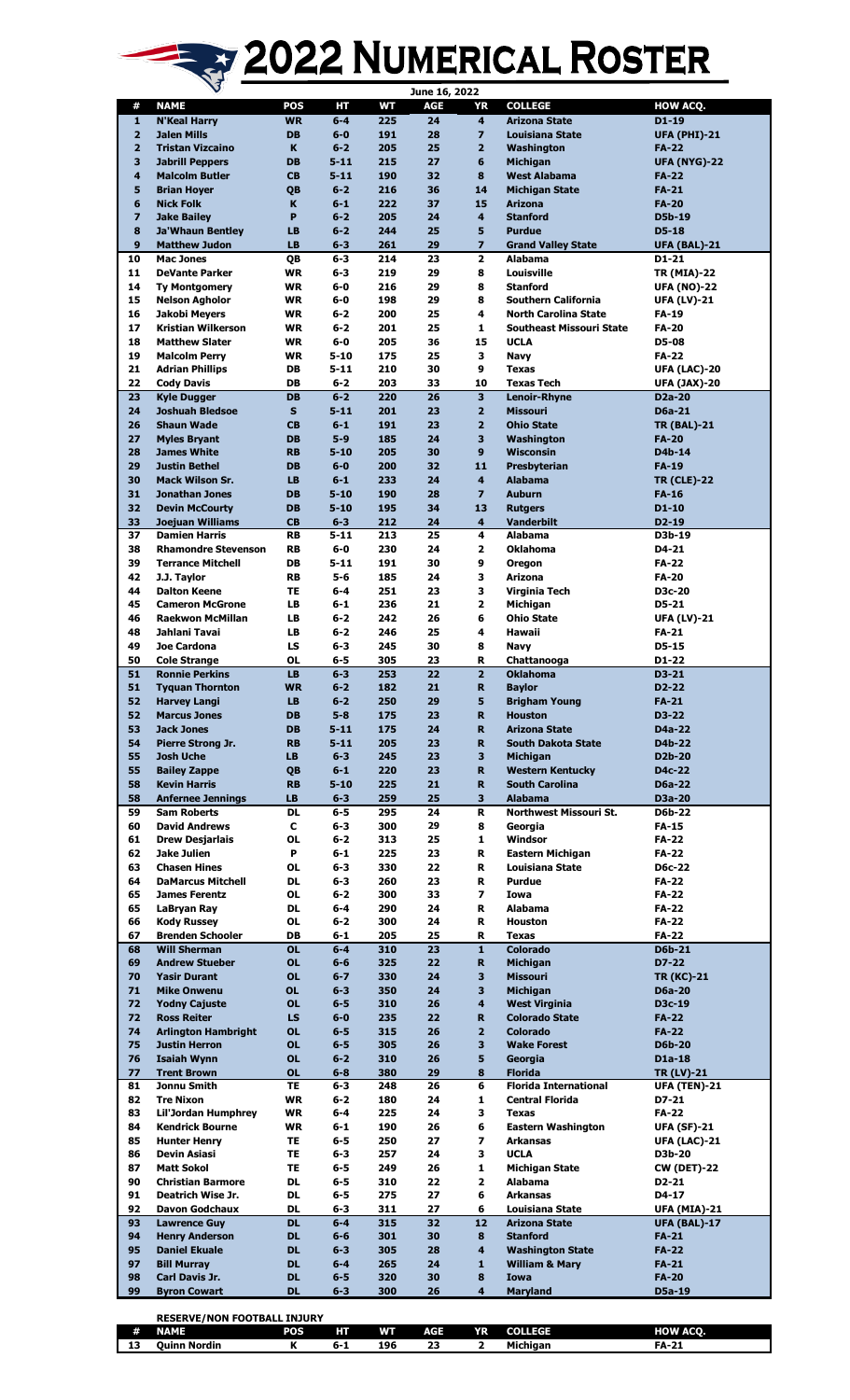## 2022 NUMERICAL ROSTER

| <b>NAME</b><br><b>POS</b><br>HТ<br>WТ<br>AGE<br><b>COLLEGE</b><br>HOW ACQ.<br>#<br>YR<br>$\overline{225}$<br><b>N'Keal Harry</b><br><b>WR</b><br>$6 - 4$<br>24<br>4<br><b>Arizona State</b><br>$D1-19$<br>1<br>$\overline{\mathbf{2}}$<br><b>Jalen Mills</b><br>28<br>$\overline{z}$<br><b>DB</b><br>$6 - 0$<br>191<br><b>Louisiana State</b><br><b>UFA (PHI)-21</b><br>$\overline{2}$<br>205<br>25<br>$\overline{2}$<br><b>Tristan Vizcaino</b><br>K<br>$6 - 2$<br>Washington<br><b>FA-22</b><br>27<br>6<br>3<br><b>DB</b><br>$5 - 11$<br>215<br>Michigan<br><b>Jabrill Peppers</b><br><b>UFA (NYG)-22</b><br><b>CB</b><br>$5 - 11$<br>190<br>32<br>8<br>4<br><b>Malcolm Butler</b><br><b>West Alabama</b><br><b>FA-22</b><br>216<br>14<br>5<br>QB<br>$6 - 2$<br>36<br><b>Michigan State</b><br><b>FA-21</b><br><b>Brian Hoyer</b><br>K<br>$6 - 1$<br>222<br>15<br>6<br>37<br><b>Arizona</b><br><b>FA-20</b><br><b>Nick Folk</b><br>$\overline{\mathbf{z}}$<br>P<br>$6 - 2$<br>205<br>4<br>24<br><b>Stanford</b><br>D5b-19<br><b>Jake Bailey</b><br>244<br>5<br>8<br><b>Ja'Whaun Bentley</b><br>LB<br>$6 - 2$<br>25<br><b>Purdue</b><br>$D5-18$<br>$\overline{z}$<br>9<br>29<br><b>Matthew Judon</b><br>LB<br>$6 - 3$<br>261<br><b>Grand Valley State</b><br><b>UFA (BAL)-21</b><br>$\overline{2}$<br>10<br>214<br>23<br><b>Mac Jones</b><br>QB<br>$6 - 3$<br><b>Alabama</b><br>D1-21<br>8<br>11<br><b>DeVante Parker</b><br>WR<br>6-3<br>219<br>29<br>Louisville<br><b>TR (MIA)-22</b><br>8<br>14<br>29<br><b>Ty Montgomery</b><br><b>WR</b><br>$6-0$<br>216<br><b>Stanford</b><br><b>UFA (NO)-22</b><br>198<br>29<br>8<br>15<br><b>Nelson Agholor</b><br><b>WR</b><br>$6-0$<br><b>Southern California</b><br><b>UFA (LV)-21</b><br>4<br><b>North Carolina State</b><br>16<br>Jakobi Meyers<br><b>WR</b><br>$6 - 2$<br>200<br>25<br>FA-19<br>25<br>1<br>17<br>Kristian Wilkerson<br><b>WR</b><br>$6 - 2$<br>201<br><b>Southeast Missouri State</b><br><b>FA-20</b><br>18<br>$6-0$<br>205<br>15<br><b>Matthew Slater</b><br><b>WR</b><br>36<br><b>UCLA</b><br>D5-08<br>19<br>3<br>WR<br>5-10<br>175<br>25<br><b>FA-22</b><br><b>Malcolm Perry</b><br>Navy<br>30<br>9<br>21<br><b>Adrian Phillips</b><br>DB<br>$5 - 11$<br>210<br><b>Texas</b><br><b>UFA (LAC)-20</b><br>22<br>203<br><b>Cody Davis</b><br>DB<br>$6 - 2$<br>33<br>10<br><b>Texas Tech</b><br><b>UFA (JAX)-20</b><br>3<br><b>DB</b><br>$6 - 2$<br>220<br>26<br>23<br><b>Kyle Dugger</b><br>Lenoir-Rhyne<br>D <sub>2a</sub> -20<br>24<br>S<br>$5 - 11$<br>201<br>23<br>$\overline{2}$<br><b>Joshuah Bledsoe</b><br><b>Missouri</b><br><b>D6a-21</b><br>$6 - 1$<br>191<br>23<br>$\overline{2}$<br>26<br><b>Shaun Wade</b><br><b>CB</b><br><b>Ohio State</b><br><b>TR (BAL)-21</b><br>3<br>27<br><b>DB</b><br>$5 - 9$<br>185<br>24<br>Washington<br><b>Myles Bryant</b><br><b>FA-20</b><br>$5 - 10$<br>205<br>9<br>28<br><b>James White</b><br><b>RB</b><br>30<br><b>Wisconsin</b><br>D4b-14<br>$6-0$<br>200<br>29<br><b>Justin Bethel</b><br><b>DB</b><br>32<br>11<br>Presbyterian<br><b>FA-19</b><br>30<br>$6 - 1$<br>$\overline{\mathbf{4}}$<br><b>Mack Wilson Sr.</b><br><b>LB</b><br>233<br>24<br><b>Alabama</b><br><b>TR (CLE)-22</b><br>$5 - 10$<br>190<br>$\overline{z}$<br><b>Auburn</b><br>31<br><b>Jonathan Jones</b><br><b>DB</b><br>28<br><b>FA-16</b><br>32<br>$5 - 10$<br><b>Devin McCourty</b><br>DB<br>195<br>34<br>13<br>$D1-10$<br><b>Rutgers</b><br>33<br>212<br>4<br>Joejuan Williams<br><b>CB</b><br>$6 - 3$<br>24<br><b>Vanderbilt</b><br>$D2-19$<br>4<br>37<br><b>RB</b><br>$5 - 11$<br>213<br>25<br><b>Alabama</b><br><b>Damien Harris</b><br>D3b-19<br>230<br>2<br>38<br>RB<br>$6-0$<br>24<br><b>Oklahoma</b><br><b>Rhamondre Stevenson</b><br>D4-21<br>9<br>39<br>DB<br>$5 - 11$<br>191<br>30<br><b>Terrance Mitchell</b><br><b>FA-22</b><br><b>Oregon</b><br>42<br>$5 - 6$<br>185<br>з<br><b>FA-20</b><br>J.J. Taylor<br><b>RB</b><br>24<br>Arizona<br>3<br>44<br><b>Dalton Keene</b><br>TE<br>$6 - 4$<br>251<br>23<br>Virginia Tech<br>D3c-20<br>$\mathbf{z}$<br>45<br><b>LB</b><br>236<br><b>Cameron McGrone</b><br>$6 - 1$<br>21<br>Michigan<br>D5-21<br>$6 - 2$<br>6<br>46<br><b>Raekwon McMillan</b><br>LВ<br>242<br>26<br><b>Ohio State</b><br><b>UFA (LV)-21</b><br>48<br>Jahlani Tavai<br>LB<br>$6 - 2$<br>246<br>25<br>4<br>Hawaii<br>FA-21<br>245<br>30<br>8<br>49<br>Joe Cardona<br>LS<br>$6 - 3$<br>$D5-15$<br><b>Navy</b><br>50<br><b>Cole Strange</b><br>OL<br>$6 - 5$<br>305<br>23<br>R<br>Chattanooga<br>D1-22<br>$\overline{2}$<br><b>Ronnie Perkins</b><br>$6 - 3$<br>22<br>51<br><b>LB</b><br>253<br><b>Oklahoma</b><br>$D3-21$<br>182<br>$\mathbf R$<br>51<br><b>Tyquan Thornton</b><br><b>WR</b><br>$6 - 2$<br>21<br>D2-22<br><b>Baylor</b><br>52<br>$6 - 2$<br>5<br><b>Harvey Langi</b><br>LB<br>250<br>29<br><b>FA-21</b><br><b>Brigham Young</b><br>52<br><b>Marcus Jones</b><br>DB<br>5-8<br>175<br>23<br>R.<br>Houston<br>D3-22<br>53<br><b>DB</b><br>$5 - 11$<br>175<br>24<br>R<br>D4a-22<br><b>Jack Jones</b><br>Arizona State<br>54<br>$5 - 11$<br>D4b-22<br>Pierre Strong Jr.<br><b>RB</b><br>205<br>23<br>R.<br><b>South Dakota State</b><br>55<br><b>LB</b><br>245<br>23<br>3<br><b>Josh Uche</b><br>$6 - 3$<br><b>Michigan</b><br>D <sub>2</sub> b-20<br>55<br>$6-1$<br>220<br>23<br>R.<br><b>Bailey Zappe</b><br>QB<br><b>Western Kentucky</b><br>D4c-22<br>58<br>$5 - 10$<br>225<br>$\mathbf{R}$<br><b>Kevin Harris</b><br><b>RB</b><br>21<br><b>South Carolina</b><br><b>D6a-22</b><br>58<br>259<br>3<br><b>LB</b><br>$6 - 3$<br>25<br><b>Alabama</b><br>D3a-20<br><b>Anfernee Jennings</b><br>59<br><b>Sam Roberts</b><br><b>DL</b><br>6-5<br>295<br>24<br>R<br>Northwest Missouri St.<br><b>D6b-22</b><br>60<br>с<br>8<br><b>David Andrews</b><br>6-3<br>300<br>29<br>Georgia<br><b>FA-15</b><br>61<br>313<br>25<br>1<br><b>Drew Desiarlais</b><br><b>OL</b><br>$6 - 2$<br>Windsor<br><b>FA-22</b><br>62<br>P<br>R<br>Jake Julien<br>$6 - 1$<br>225<br>23<br>Eastern Michigan<br><b>FA-22</b><br>63<br><b>OL</b><br>330<br>22<br>R<br><b>Chasen Hines</b><br>$6 - 3$<br>Louisiana State<br><b>D6c-22</b><br>64<br>R<br><b>DaMarcus Mitchell</b><br>DL<br>6-3<br>260<br>23<br><b>Purdue</b><br><b>FA-22</b><br>$\overline{ }$<br>65<br><b>OL</b><br>$6 - 2$<br>300<br><b>FA-22</b><br><b>James Ferentz</b><br>33<br>Iowa<br>65<br>R<br>LaBryan Ray<br><b>DL</b><br>$6-4$<br>290<br>24<br><b>Alabama</b><br><b>FA-22</b><br>66<br>R<br><b>Kody Russey</b><br>OL<br>$6 - 2$<br>300<br>24<br><b>Houston</b><br><b>FA-22</b><br>R<br><b>FA-22</b><br>67<br><b>Brenden Schooler</b><br>DB<br>$6 - 1$<br>205<br>25<br><b>Texas</b><br>$6 - 4$<br>$\mathbf{1}$<br><b>Colorado</b><br><b>D6b-21</b><br>68<br><b>Will Sherman</b><br><b>OL</b><br>310<br>23<br>69<br><b>OL</b><br>325<br>22<br>R.<br>D7-22<br><b>Andrew Stueber</b><br>$6 - 6$<br>Michigan<br><b>OL</b><br>3<br>70<br><b>Yasir Durant</b><br>$6 - 7$<br>330<br>24<br><b>Missouri</b><br><b>TR (KC)-21</b><br><b>OL</b><br>3<br>71<br><b>Mike Onwenu</b><br>$6 - 3$<br>350<br>24<br>Michigan<br><b>D6a-20</b><br>$6 - 5$<br>310<br>4<br><b>West Virginia</b><br>72<br><b>Yodny Cajuste</b><br><b>OL</b><br>26<br>D3c-19<br>72<br>LS<br>R.<br><b>Ross Reiter</b><br>$6-0$<br>235<br>22<br><b>Colorado State</b><br><b>FA-22</b><br>315<br>$\overline{2}$<br>74<br><b>Arlington Hambright</b><br><b>OL</b><br>$6 - 5$<br>26<br><b>Colorado</b><br><b>FA-22</b><br>3<br>75<br><b>Justin Herron</b><br><b>OL</b><br>$6 - 5$<br>305<br>26<br><b>Wake Forest</b><br><b>D6b-20</b><br><b>OL</b><br>5<br>76<br><b>Isaiah Wynn</b><br>$6 - 2$<br>310<br>26<br>D1a-18<br>Georgia<br>77<br><b>Trent Brown</b><br><b>OL</b><br>$6 - 8$<br>380<br>29<br>8<br><b>Florida</b><br><b>TR (LV)-21</b><br>6<br>81<br>Jonnu Smith<br>TE<br>$6 - 3$<br>26<br><b>Florida International</b><br>248<br><b>UFA (TEN)-21</b><br>82<br><b>Tre Nixon</b><br>WR<br>$6 - 2$<br>180<br>24<br>1<br><b>Central Florida</b><br>D7-21<br>3<br>83<br><b>Lil'Jordan Humphrey</b><br>WR<br>$6-4$<br>225<br>24<br><b>FA-22</b><br><b>Texas</b><br>84<br>190<br>6<br><b>Kendrick Bourne</b><br>WR<br>$6 - 1$<br>26<br><b>Eastern Washington</b><br><b>UFA (SF)-21</b><br>85<br>7<br>TE<br>6-5<br>250<br>27<br><b>Arkansas</b><br><b>Hunter Henry</b><br><b>UFA (LAC)-21</b><br>3<br>257<br><b>UCLA</b><br>86<br>Devin Asiasi<br>TE<br>6-3<br>24<br>D3b-20<br>87<br>TE<br>1<br><b>Matt Sokol</b><br>$6-5$<br>249<br>26<br><b>Michigan State</b><br><b>CW (DET)-22</b><br>90<br>DL<br>2<br><b>Christian Barmore</b><br>6-5<br>310<br>22<br><b>Alabama</b><br>D2-21<br>6<br>91<br>Deatrich Wise Jr.<br>DL<br>6-5<br>275<br>27<br>D4-17<br>Arkansas<br>92<br>27<br><b>Davon Godchaux</b><br>DL<br>$6 - 3$<br>311<br>6<br>Louisiana State<br><b>UFA (MIA)-21</b><br>93<br><b>Lawrence Guy</b><br><b>DL</b><br>$6-4$<br>315<br>32<br>12<br><b>Arizona State</b><br><b>UFA (BAL)-17</b><br>8<br>94<br><b>Henry Anderson</b><br><b>DL</b><br>$6 - 6$<br>301<br>30<br><b>Stanford</b><br>$FA-21$<br>95<br>4<br><b>Daniel Ekuale</b><br><b>DL</b><br>$6 - 3$<br>305<br>28<br><b>Washington State</b><br><b>FA-22</b><br>97<br>$\mathbf{1}$<br><b>DL</b><br>$6-4$<br>265<br>24<br><b>William &amp; Mary</b><br><b>FA-21</b><br><b>Bill Murray</b><br>98<br><b>DL</b><br>$6 - 5$<br>8<br><b>FA-20</b><br>Carl Davis Jr.<br>320<br>30<br><b>Iowa</b><br>99<br>DL<br>$6 - 3$<br>300<br>26<br>4<br>D5a-19<br><b>Byron Cowart</b><br><b>Maryland</b> |  |  | June 16, 2022 |  |  |
|---------------------------------------------------------------------------------------------------------------------------------------------------------------------------------------------------------------------------------------------------------------------------------------------------------------------------------------------------------------------------------------------------------------------------------------------------------------------------------------------------------------------------------------------------------------------------------------------------------------------------------------------------------------------------------------------------------------------------------------------------------------------------------------------------------------------------------------------------------------------------------------------------------------------------------------------------------------------------------------------------------------------------------------------------------------------------------------------------------------------------------------------------------------------------------------------------------------------------------------------------------------------------------------------------------------------------------------------------------------------------------------------------------------------------------------------------------------------------------------------------------------------------------------------------------------------------------------------------------------------------------------------------------------------------------------------------------------------------------------------------------------------------------------------------------------------------------------------------------------------------------------------------------------------------------------------------------------------------------------------------------------------------------------------------------------------------------------------------------------------------------------------------------------------------------------------------------------------------------------------------------------------------------------------------------------------------------------------------------------------------------------------------------------------------------------------------------------------------------------------------------------------------------------------------------------------------------------------------------------------------------------------------------------------------------------------------------------------------------------------------------------------------------------------------------------------------------------------------------------------------------------------------------------------------------------------------------------------------------------------------------------------------------------------------------------------------------------------------------------------------------------------------------------------------------------------------------------------------------------------------------------------------------------------------------------------------------------------------------------------------------------------------------------------------------------------------------------------------------------------------------------------------------------------------------------------------------------------------------------------------------------------------------------------------------------------------------------------------------------------------------------------------------------------------------------------------------------------------------------------------------------------------------------------------------------------------------------------------------------------------------------------------------------------------------------------------------------------------------------------------------------------------------------------------------------------------------------------------------------------------------------------------------------------------------------------------------------------------------------------------------------------------------------------------------------------------------------------------------------------------------------------------------------------------------------------------------------------------------------------------------------------------------------------------------------------------------------------------------------------------------------------------------------------------------------------------------------------------------------------------------------------------------------------------------------------------------------------------------------------------------------------------------------------------------------------------------------------------------------------------------------------------------------------------------------------------------------------------------------------------------------------------------------------------------------------------------------------------------------------------------------------------------------------------------------------------------------------------------------------------------------------------------------------------------------------------------------------------------------------------------------------------------------------------------------------------------------------------------------------------------------------------------------------------------------------------------------------------------------------------------------------------------------------------------------------------------------------------------------------------------------------------------------------------------------------------------------------------------------------------------------------------------------------------------------------------------------------------------------------------------------------------------------------------------------------------------------------------------------------------------------------------------------------------------------------------------------------------------------------------------------------------------------------------------------------------------------------------------------------------------------------------------------------------------------------------------------------------------------------------------------------------------------------------------------------------------------------------------------------------------------------------------------------------------------------------------------------------------------------------------------------------------------------------------------------------------------------------------------------------------------------------------------------------------------------------------------------------------------------------------------------------------------------------------------------------------------------------------------------------------------------------------------------------------------------------------------------------------------------------------------------------------------------------------------------------------------------------------------------------------------------------------------------------------------------------------------------------------------------------------------------------------------------------------------------------------------------------------------------------------------------------------------------------------------------------------------------------------------------------------------------------------------------------------------------------------------------------------------------------------------------------------------------------------------------------------------------------------------------------------------------------------------------------------------------------------------------------------------------------------------------------------------------------------------------------------------------------------------------------------------------------------------------------------------------------------------------------------------------------------------------------------------------------------------------------------------------------------------------------------------------------------------------------------------------------------------------------------------------------------------------------------------------------------------------------------------------------------------------------------------------------------------------------------------------------------------------------------------------------------------------------------------------------------------------------------------------------------------------------------------------------------------------------------------------------------------------------------------------------------------------------------------------------------------------------------------------------------|--|--|---------------|--|--|
|                                                                                                                                                                                                                                                                                                                                                                                                                                                                                                                                                                                                                                                                                                                                                                                                                                                                                                                                                                                                                                                                                                                                                                                                                                                                                                                                                                                                                                                                                                                                                                                                                                                                                                                                                                                                                                                                                                                                                                                                                                                                                                                                                                                                                                                                                                                                                                                                                                                                                                                                                                                                                                                                                                                                                                                                                                                                                                                                                                                                                                                                                                                                                                                                                                                                                                                                                                                                                                                                                                                                                                                                                                                                                                                                                                                                                                                                                                                                                                                                                                                                                                                                                                                                                                                                                                                                                                                                                                                                                                                                                                                                                                                                                                                                                                                                                                                                                                                                                                                                                                                                                                                                                                                                                                                                                                                                                                                                                                                                                                                                                                                                                                                                                                                                                                                                                                                                                                                                                                                                                                                                                                                                                                                                                                                                                                                                                                                                                                                                                                                                                                                                                                                                                                                                                                                                                                                                                                                                                                                                                                                                                                                                                                                                                                                                                                                                                                                                                                                                                                                                                                                                                                                                                                                                                                                                                                                                                                                                                                                                                                                                                                                                                                                                                                                                                                                                                                                                                                                                                                                                                                                                                                                                                                                                                                                                                                                                                                                                                                                                                                                                                                                                                                                                                                                                                                                                                                                                                                                                                 |  |  |               |  |  |
|                                                                                                                                                                                                                                                                                                                                                                                                                                                                                                                                                                                                                                                                                                                                                                                                                                                                                                                                                                                                                                                                                                                                                                                                                                                                                                                                                                                                                                                                                                                                                                                                                                                                                                                                                                                                                                                                                                                                                                                                                                                                                                                                                                                                                                                                                                                                                                                                                                                                                                                                                                                                                                                                                                                                                                                                                                                                                                                                                                                                                                                                                                                                                                                                                                                                                                                                                                                                                                                                                                                                                                                                                                                                                                                                                                                                                                                                                                                                                                                                                                                                                                                                                                                                                                                                                                                                                                                                                                                                                                                                                                                                                                                                                                                                                                                                                                                                                                                                                                                                                                                                                                                                                                                                                                                                                                                                                                                                                                                                                                                                                                                                                                                                                                                                                                                                                                                                                                                                                                                                                                                                                                                                                                                                                                                                                                                                                                                                                                                                                                                                                                                                                                                                                                                                                                                                                                                                                                                                                                                                                                                                                                                                                                                                                                                                                                                                                                                                                                                                                                                                                                                                                                                                                                                                                                                                                                                                                                                                                                                                                                                                                                                                                                                                                                                                                                                                                                                                                                                                                                                                                                                                                                                                                                                                                                                                                                                                                                                                                                                                                                                                                                                                                                                                                                                                                                                                                                                                                                                                                 |  |  |               |  |  |
|                                                                                                                                                                                                                                                                                                                                                                                                                                                                                                                                                                                                                                                                                                                                                                                                                                                                                                                                                                                                                                                                                                                                                                                                                                                                                                                                                                                                                                                                                                                                                                                                                                                                                                                                                                                                                                                                                                                                                                                                                                                                                                                                                                                                                                                                                                                                                                                                                                                                                                                                                                                                                                                                                                                                                                                                                                                                                                                                                                                                                                                                                                                                                                                                                                                                                                                                                                                                                                                                                                                                                                                                                                                                                                                                                                                                                                                                                                                                                                                                                                                                                                                                                                                                                                                                                                                                                                                                                                                                                                                                                                                                                                                                                                                                                                                                                                                                                                                                                                                                                                                                                                                                                                                                                                                                                                                                                                                                                                                                                                                                                                                                                                                                                                                                                                                                                                                                                                                                                                                                                                                                                                                                                                                                                                                                                                                                                                                                                                                                                                                                                                                                                                                                                                                                                                                                                                                                                                                                                                                                                                                                                                                                                                                                                                                                                                                                                                                                                                                                                                                                                                                                                                                                                                                                                                                                                                                                                                                                                                                                                                                                                                                                                                                                                                                                                                                                                                                                                                                                                                                                                                                                                                                                                                                                                                                                                                                                                                                                                                                                                                                                                                                                                                                                                                                                                                                                                                                                                                                                                 |  |  |               |  |  |
|                                                                                                                                                                                                                                                                                                                                                                                                                                                                                                                                                                                                                                                                                                                                                                                                                                                                                                                                                                                                                                                                                                                                                                                                                                                                                                                                                                                                                                                                                                                                                                                                                                                                                                                                                                                                                                                                                                                                                                                                                                                                                                                                                                                                                                                                                                                                                                                                                                                                                                                                                                                                                                                                                                                                                                                                                                                                                                                                                                                                                                                                                                                                                                                                                                                                                                                                                                                                                                                                                                                                                                                                                                                                                                                                                                                                                                                                                                                                                                                                                                                                                                                                                                                                                                                                                                                                                                                                                                                                                                                                                                                                                                                                                                                                                                                                                                                                                                                                                                                                                                                                                                                                                                                                                                                                                                                                                                                                                                                                                                                                                                                                                                                                                                                                                                                                                                                                                                                                                                                                                                                                                                                                                                                                                                                                                                                                                                                                                                                                                                                                                                                                                                                                                                                                                                                                                                                                                                                                                                                                                                                                                                                                                                                                                                                                                                                                                                                                                                                                                                                                                                                                                                                                                                                                                                                                                                                                                                                                                                                                                                                                                                                                                                                                                                                                                                                                                                                                                                                                                                                                                                                                                                                                                                                                                                                                                                                                                                                                                                                                                                                                                                                                                                                                                                                                                                                                                                                                                                                                                 |  |  |               |  |  |
|                                                                                                                                                                                                                                                                                                                                                                                                                                                                                                                                                                                                                                                                                                                                                                                                                                                                                                                                                                                                                                                                                                                                                                                                                                                                                                                                                                                                                                                                                                                                                                                                                                                                                                                                                                                                                                                                                                                                                                                                                                                                                                                                                                                                                                                                                                                                                                                                                                                                                                                                                                                                                                                                                                                                                                                                                                                                                                                                                                                                                                                                                                                                                                                                                                                                                                                                                                                                                                                                                                                                                                                                                                                                                                                                                                                                                                                                                                                                                                                                                                                                                                                                                                                                                                                                                                                                                                                                                                                                                                                                                                                                                                                                                                                                                                                                                                                                                                                                                                                                                                                                                                                                                                                                                                                                                                                                                                                                                                                                                                                                                                                                                                                                                                                                                                                                                                                                                                                                                                                                                                                                                                                                                                                                                                                                                                                                                                                                                                                                                                                                                                                                                                                                                                                                                                                                                                                                                                                                                                                                                                                                                                                                                                                                                                                                                                                                                                                                                                                                                                                                                                                                                                                                                                                                                                                                                                                                                                                                                                                                                                                                                                                                                                                                                                                                                                                                                                                                                                                                                                                                                                                                                                                                                                                                                                                                                                                                                                                                                                                                                                                                                                                                                                                                                                                                                                                                                                                                                                                                                 |  |  |               |  |  |
|                                                                                                                                                                                                                                                                                                                                                                                                                                                                                                                                                                                                                                                                                                                                                                                                                                                                                                                                                                                                                                                                                                                                                                                                                                                                                                                                                                                                                                                                                                                                                                                                                                                                                                                                                                                                                                                                                                                                                                                                                                                                                                                                                                                                                                                                                                                                                                                                                                                                                                                                                                                                                                                                                                                                                                                                                                                                                                                                                                                                                                                                                                                                                                                                                                                                                                                                                                                                                                                                                                                                                                                                                                                                                                                                                                                                                                                                                                                                                                                                                                                                                                                                                                                                                                                                                                                                                                                                                                                                                                                                                                                                                                                                                                                                                                                                                                                                                                                                                                                                                                                                                                                                                                                                                                                                                                                                                                                                                                                                                                                                                                                                                                                                                                                                                                                                                                                                                                                                                                                                                                                                                                                                                                                                                                                                                                                                                                                                                                                                                                                                                                                                                                                                                                                                                                                                                                                                                                                                                                                                                                                                                                                                                                                                                                                                                                                                                                                                                                                                                                                                                                                                                                                                                                                                                                                                                                                                                                                                                                                                                                                                                                                                                                                                                                                                                                                                                                                                                                                                                                                                                                                                                                                                                                                                                                                                                                                                                                                                                                                                                                                                                                                                                                                                                                                                                                                                                                                                                                                                                 |  |  |               |  |  |
|                                                                                                                                                                                                                                                                                                                                                                                                                                                                                                                                                                                                                                                                                                                                                                                                                                                                                                                                                                                                                                                                                                                                                                                                                                                                                                                                                                                                                                                                                                                                                                                                                                                                                                                                                                                                                                                                                                                                                                                                                                                                                                                                                                                                                                                                                                                                                                                                                                                                                                                                                                                                                                                                                                                                                                                                                                                                                                                                                                                                                                                                                                                                                                                                                                                                                                                                                                                                                                                                                                                                                                                                                                                                                                                                                                                                                                                                                                                                                                                                                                                                                                                                                                                                                                                                                                                                                                                                                                                                                                                                                                                                                                                                                                                                                                                                                                                                                                                                                                                                                                                                                                                                                                                                                                                                                                                                                                                                                                                                                                                                                                                                                                                                                                                                                                                                                                                                                                                                                                                                                                                                                                                                                                                                                                                                                                                                                                                                                                                                                                                                                                                                                                                                                                                                                                                                                                                                                                                                                                                                                                                                                                                                                                                                                                                                                                                                                                                                                                                                                                                                                                                                                                                                                                                                                                                                                                                                                                                                                                                                                                                                                                                                                                                                                                                                                                                                                                                                                                                                                                                                                                                                                                                                                                                                                                                                                                                                                                                                                                                                                                                                                                                                                                                                                                                                                                                                                                                                                                                                                 |  |  |               |  |  |
|                                                                                                                                                                                                                                                                                                                                                                                                                                                                                                                                                                                                                                                                                                                                                                                                                                                                                                                                                                                                                                                                                                                                                                                                                                                                                                                                                                                                                                                                                                                                                                                                                                                                                                                                                                                                                                                                                                                                                                                                                                                                                                                                                                                                                                                                                                                                                                                                                                                                                                                                                                                                                                                                                                                                                                                                                                                                                                                                                                                                                                                                                                                                                                                                                                                                                                                                                                                                                                                                                                                                                                                                                                                                                                                                                                                                                                                                                                                                                                                                                                                                                                                                                                                                                                                                                                                                                                                                                                                                                                                                                                                                                                                                                                                                                                                                                                                                                                                                                                                                                                                                                                                                                                                                                                                                                                                                                                                                                                                                                                                                                                                                                                                                                                                                                                                                                                                                                                                                                                                                                                                                                                                                                                                                                                                                                                                                                                                                                                                                                                                                                                                                                                                                                                                                                                                                                                                                                                                                                                                                                                                                                                                                                                                                                                                                                                                                                                                                                                                                                                                                                                                                                                                                                                                                                                                                                                                                                                                                                                                                                                                                                                                                                                                                                                                                                                                                                                                                                                                                                                                                                                                                                                                                                                                                                                                                                                                                                                                                                                                                                                                                                                                                                                                                                                                                                                                                                                                                                                                                                 |  |  |               |  |  |
|                                                                                                                                                                                                                                                                                                                                                                                                                                                                                                                                                                                                                                                                                                                                                                                                                                                                                                                                                                                                                                                                                                                                                                                                                                                                                                                                                                                                                                                                                                                                                                                                                                                                                                                                                                                                                                                                                                                                                                                                                                                                                                                                                                                                                                                                                                                                                                                                                                                                                                                                                                                                                                                                                                                                                                                                                                                                                                                                                                                                                                                                                                                                                                                                                                                                                                                                                                                                                                                                                                                                                                                                                                                                                                                                                                                                                                                                                                                                                                                                                                                                                                                                                                                                                                                                                                                                                                                                                                                                                                                                                                                                                                                                                                                                                                                                                                                                                                                                                                                                                                                                                                                                                                                                                                                                                                                                                                                                                                                                                                                                                                                                                                                                                                                                                                                                                                                                                                                                                                                                                                                                                                                                                                                                                                                                                                                                                                                                                                                                                                                                                                                                                                                                                                                                                                                                                                                                                                                                                                                                                                                                                                                                                                                                                                                                                                                                                                                                                                                                                                                                                                                                                                                                                                                                                                                                                                                                                                                                                                                                                                                                                                                                                                                                                                                                                                                                                                                                                                                                                                                                                                                                                                                                                                                                                                                                                                                                                                                                                                                                                                                                                                                                                                                                                                                                                                                                                                                                                                                                                 |  |  |               |  |  |
|                                                                                                                                                                                                                                                                                                                                                                                                                                                                                                                                                                                                                                                                                                                                                                                                                                                                                                                                                                                                                                                                                                                                                                                                                                                                                                                                                                                                                                                                                                                                                                                                                                                                                                                                                                                                                                                                                                                                                                                                                                                                                                                                                                                                                                                                                                                                                                                                                                                                                                                                                                                                                                                                                                                                                                                                                                                                                                                                                                                                                                                                                                                                                                                                                                                                                                                                                                                                                                                                                                                                                                                                                                                                                                                                                                                                                                                                                                                                                                                                                                                                                                                                                                                                                                                                                                                                                                                                                                                                                                                                                                                                                                                                                                                                                                                                                                                                                                                                                                                                                                                                                                                                                                                                                                                                                                                                                                                                                                                                                                                                                                                                                                                                                                                                                                                                                                                                                                                                                                                                                                                                                                                                                                                                                                                                                                                                                                                                                                                                                                                                                                                                                                                                                                                                                                                                                                                                                                                                                                                                                                                                                                                                                                                                                                                                                                                                                                                                                                                                                                                                                                                                                                                                                                                                                                                                                                                                                                                                                                                                                                                                                                                                                                                                                                                                                                                                                                                                                                                                                                                                                                                                                                                                                                                                                                                                                                                                                                                                                                                                                                                                                                                                                                                                                                                                                                                                                                                                                                                                                 |  |  |               |  |  |
|                                                                                                                                                                                                                                                                                                                                                                                                                                                                                                                                                                                                                                                                                                                                                                                                                                                                                                                                                                                                                                                                                                                                                                                                                                                                                                                                                                                                                                                                                                                                                                                                                                                                                                                                                                                                                                                                                                                                                                                                                                                                                                                                                                                                                                                                                                                                                                                                                                                                                                                                                                                                                                                                                                                                                                                                                                                                                                                                                                                                                                                                                                                                                                                                                                                                                                                                                                                                                                                                                                                                                                                                                                                                                                                                                                                                                                                                                                                                                                                                                                                                                                                                                                                                                                                                                                                                                                                                                                                                                                                                                                                                                                                                                                                                                                                                                                                                                                                                                                                                                                                                                                                                                                                                                                                                                                                                                                                                                                                                                                                                                                                                                                                                                                                                                                                                                                                                                                                                                                                                                                                                                                                                                                                                                                                                                                                                                                                                                                                                                                                                                                                                                                                                                                                                                                                                                                                                                                                                                                                                                                                                                                                                                                                                                                                                                                                                                                                                                                                                                                                                                                                                                                                                                                                                                                                                                                                                                                                                                                                                                                                                                                                                                                                                                                                                                                                                                                                                                                                                                                                                                                                                                                                                                                                                                                                                                                                                                                                                                                                                                                                                                                                                                                                                                                                                                                                                                                                                                                                                                 |  |  |               |  |  |
|                                                                                                                                                                                                                                                                                                                                                                                                                                                                                                                                                                                                                                                                                                                                                                                                                                                                                                                                                                                                                                                                                                                                                                                                                                                                                                                                                                                                                                                                                                                                                                                                                                                                                                                                                                                                                                                                                                                                                                                                                                                                                                                                                                                                                                                                                                                                                                                                                                                                                                                                                                                                                                                                                                                                                                                                                                                                                                                                                                                                                                                                                                                                                                                                                                                                                                                                                                                                                                                                                                                                                                                                                                                                                                                                                                                                                                                                                                                                                                                                                                                                                                                                                                                                                                                                                                                                                                                                                                                                                                                                                                                                                                                                                                                                                                                                                                                                                                                                                                                                                                                                                                                                                                                                                                                                                                                                                                                                                                                                                                                                                                                                                                                                                                                                                                                                                                                                                                                                                                                                                                                                                                                                                                                                                                                                                                                                                                                                                                                                                                                                                                                                                                                                                                                                                                                                                                                                                                                                                                                                                                                                                                                                                                                                                                                                                                                                                                                                                                                                                                                                                                                                                                                                                                                                                                                                                                                                                                                                                                                                                                                                                                                                                                                                                                                                                                                                                                                                                                                                                                                                                                                                                                                                                                                                                                                                                                                                                                                                                                                                                                                                                                                                                                                                                                                                                                                                                                                                                                                                                 |  |  |               |  |  |
|                                                                                                                                                                                                                                                                                                                                                                                                                                                                                                                                                                                                                                                                                                                                                                                                                                                                                                                                                                                                                                                                                                                                                                                                                                                                                                                                                                                                                                                                                                                                                                                                                                                                                                                                                                                                                                                                                                                                                                                                                                                                                                                                                                                                                                                                                                                                                                                                                                                                                                                                                                                                                                                                                                                                                                                                                                                                                                                                                                                                                                                                                                                                                                                                                                                                                                                                                                                                                                                                                                                                                                                                                                                                                                                                                                                                                                                                                                                                                                                                                                                                                                                                                                                                                                                                                                                                                                                                                                                                                                                                                                                                                                                                                                                                                                                                                                                                                                                                                                                                                                                                                                                                                                                                                                                                                                                                                                                                                                                                                                                                                                                                                                                                                                                                                                                                                                                                                                                                                                                                                                                                                                                                                                                                                                                                                                                                                                                                                                                                                                                                                                                                                                                                                                                                                                                                                                                                                                                                                                                                                                                                                                                                                                                                                                                                                                                                                                                                                                                                                                                                                                                                                                                                                                                                                                                                                                                                                                                                                                                                                                                                                                                                                                                                                                                                                                                                                                                                                                                                                                                                                                                                                                                                                                                                                                                                                                                                                                                                                                                                                                                                                                                                                                                                                                                                                                                                                                                                                                                                                 |  |  |               |  |  |
|                                                                                                                                                                                                                                                                                                                                                                                                                                                                                                                                                                                                                                                                                                                                                                                                                                                                                                                                                                                                                                                                                                                                                                                                                                                                                                                                                                                                                                                                                                                                                                                                                                                                                                                                                                                                                                                                                                                                                                                                                                                                                                                                                                                                                                                                                                                                                                                                                                                                                                                                                                                                                                                                                                                                                                                                                                                                                                                                                                                                                                                                                                                                                                                                                                                                                                                                                                                                                                                                                                                                                                                                                                                                                                                                                                                                                                                                                                                                                                                                                                                                                                                                                                                                                                                                                                                                                                                                                                                                                                                                                                                                                                                                                                                                                                                                                                                                                                                                                                                                                                                                                                                                                                                                                                                                                                                                                                                                                                                                                                                                                                                                                                                                                                                                                                                                                                                                                                                                                                                                                                                                                                                                                                                                                                                                                                                                                                                                                                                                                                                                                                                                                                                                                                                                                                                                                                                                                                                                                                                                                                                                                                                                                                                                                                                                                                                                                                                                                                                                                                                                                                                                                                                                                                                                                                                                                                                                                                                                                                                                                                                                                                                                                                                                                                                                                                                                                                                                                                                                                                                                                                                                                                                                                                                                                                                                                                                                                                                                                                                                                                                                                                                                                                                                                                                                                                                                                                                                                                                                                 |  |  |               |  |  |
|                                                                                                                                                                                                                                                                                                                                                                                                                                                                                                                                                                                                                                                                                                                                                                                                                                                                                                                                                                                                                                                                                                                                                                                                                                                                                                                                                                                                                                                                                                                                                                                                                                                                                                                                                                                                                                                                                                                                                                                                                                                                                                                                                                                                                                                                                                                                                                                                                                                                                                                                                                                                                                                                                                                                                                                                                                                                                                                                                                                                                                                                                                                                                                                                                                                                                                                                                                                                                                                                                                                                                                                                                                                                                                                                                                                                                                                                                                                                                                                                                                                                                                                                                                                                                                                                                                                                                                                                                                                                                                                                                                                                                                                                                                                                                                                                                                                                                                                                                                                                                                                                                                                                                                                                                                                                                                                                                                                                                                                                                                                                                                                                                                                                                                                                                                                                                                                                                                                                                                                                                                                                                                                                                                                                                                                                                                                                                                                                                                                                                                                                                                                                                                                                                                                                                                                                                                                                                                                                                                                                                                                                                                                                                                                                                                                                                                                                                                                                                                                                                                                                                                                                                                                                                                                                                                                                                                                                                                                                                                                                                                                                                                                                                                                                                                                                                                                                                                                                                                                                                                                                                                                                                                                                                                                                                                                                                                                                                                                                                                                                                                                                                                                                                                                                                                                                                                                                                                                                                                                                                 |  |  |               |  |  |
|                                                                                                                                                                                                                                                                                                                                                                                                                                                                                                                                                                                                                                                                                                                                                                                                                                                                                                                                                                                                                                                                                                                                                                                                                                                                                                                                                                                                                                                                                                                                                                                                                                                                                                                                                                                                                                                                                                                                                                                                                                                                                                                                                                                                                                                                                                                                                                                                                                                                                                                                                                                                                                                                                                                                                                                                                                                                                                                                                                                                                                                                                                                                                                                                                                                                                                                                                                                                                                                                                                                                                                                                                                                                                                                                                                                                                                                                                                                                                                                                                                                                                                                                                                                                                                                                                                                                                                                                                                                                                                                                                                                                                                                                                                                                                                                                                                                                                                                                                                                                                                                                                                                                                                                                                                                                                                                                                                                                                                                                                                                                                                                                                                                                                                                                                                                                                                                                                                                                                                                                                                                                                                                                                                                                                                                                                                                                                                                                                                                                                                                                                                                                                                                                                                                                                                                                                                                                                                                                                                                                                                                                                                                                                                                                                                                                                                                                                                                                                                                                                                                                                                                                                                                                                                                                                                                                                                                                                                                                                                                                                                                                                                                                                                                                                                                                                                                                                                                                                                                                                                                                                                                                                                                                                                                                                                                                                                                                                                                                                                                                                                                                                                                                                                                                                                                                                                                                                                                                                                                                                 |  |  |               |  |  |
|                                                                                                                                                                                                                                                                                                                                                                                                                                                                                                                                                                                                                                                                                                                                                                                                                                                                                                                                                                                                                                                                                                                                                                                                                                                                                                                                                                                                                                                                                                                                                                                                                                                                                                                                                                                                                                                                                                                                                                                                                                                                                                                                                                                                                                                                                                                                                                                                                                                                                                                                                                                                                                                                                                                                                                                                                                                                                                                                                                                                                                                                                                                                                                                                                                                                                                                                                                                                                                                                                                                                                                                                                                                                                                                                                                                                                                                                                                                                                                                                                                                                                                                                                                                                                                                                                                                                                                                                                                                                                                                                                                                                                                                                                                                                                                                                                                                                                                                                                                                                                                                                                                                                                                                                                                                                                                                                                                                                                                                                                                                                                                                                                                                                                                                                                                                                                                                                                                                                                                                                                                                                                                                                                                                                                                                                                                                                                                                                                                                                                                                                                                                                                                                                                                                                                                                                                                                                                                                                                                                                                                                                                                                                                                                                                                                                                                                                                                                                                                                                                                                                                                                                                                                                                                                                                                                                                                                                                                                                                                                                                                                                                                                                                                                                                                                                                                                                                                                                                                                                                                                                                                                                                                                                                                                                                                                                                                                                                                                                                                                                                                                                                                                                                                                                                                                                                                                                                                                                                                                                                 |  |  |               |  |  |
|                                                                                                                                                                                                                                                                                                                                                                                                                                                                                                                                                                                                                                                                                                                                                                                                                                                                                                                                                                                                                                                                                                                                                                                                                                                                                                                                                                                                                                                                                                                                                                                                                                                                                                                                                                                                                                                                                                                                                                                                                                                                                                                                                                                                                                                                                                                                                                                                                                                                                                                                                                                                                                                                                                                                                                                                                                                                                                                                                                                                                                                                                                                                                                                                                                                                                                                                                                                                                                                                                                                                                                                                                                                                                                                                                                                                                                                                                                                                                                                                                                                                                                                                                                                                                                                                                                                                                                                                                                                                                                                                                                                                                                                                                                                                                                                                                                                                                                                                                                                                                                                                                                                                                                                                                                                                                                                                                                                                                                                                                                                                                                                                                                                                                                                                                                                                                                                                                                                                                                                                                                                                                                                                                                                                                                                                                                                                                                                                                                                                                                                                                                                                                                                                                                                                                                                                                                                                                                                                                                                                                                                                                                                                                                                                                                                                                                                                                                                                                                                                                                                                                                                                                                                                                                                                                                                                                                                                                                                                                                                                                                                                                                                                                                                                                                                                                                                                                                                                                                                                                                                                                                                                                                                                                                                                                                                                                                                                                                                                                                                                                                                                                                                                                                                                                                                                                                                                                                                                                                                                                 |  |  |               |  |  |
|                                                                                                                                                                                                                                                                                                                                                                                                                                                                                                                                                                                                                                                                                                                                                                                                                                                                                                                                                                                                                                                                                                                                                                                                                                                                                                                                                                                                                                                                                                                                                                                                                                                                                                                                                                                                                                                                                                                                                                                                                                                                                                                                                                                                                                                                                                                                                                                                                                                                                                                                                                                                                                                                                                                                                                                                                                                                                                                                                                                                                                                                                                                                                                                                                                                                                                                                                                                                                                                                                                                                                                                                                                                                                                                                                                                                                                                                                                                                                                                                                                                                                                                                                                                                                                                                                                                                                                                                                                                                                                                                                                                                                                                                                                                                                                                                                                                                                                                                                                                                                                                                                                                                                                                                                                                                                                                                                                                                                                                                                                                                                                                                                                                                                                                                                                                                                                                                                                                                                                                                                                                                                                                                                                                                                                                                                                                                                                                                                                                                                                                                                                                                                                                                                                                                                                                                                                                                                                                                                                                                                                                                                                                                                                                                                                                                                                                                                                                                                                                                                                                                                                                                                                                                                                                                                                                                                                                                                                                                                                                                                                                                                                                                                                                                                                                                                                                                                                                                                                                                                                                                                                                                                                                                                                                                                                                                                                                                                                                                                                                                                                                                                                                                                                                                                                                                                                                                                                                                                                                                                 |  |  |               |  |  |
|                                                                                                                                                                                                                                                                                                                                                                                                                                                                                                                                                                                                                                                                                                                                                                                                                                                                                                                                                                                                                                                                                                                                                                                                                                                                                                                                                                                                                                                                                                                                                                                                                                                                                                                                                                                                                                                                                                                                                                                                                                                                                                                                                                                                                                                                                                                                                                                                                                                                                                                                                                                                                                                                                                                                                                                                                                                                                                                                                                                                                                                                                                                                                                                                                                                                                                                                                                                                                                                                                                                                                                                                                                                                                                                                                                                                                                                                                                                                                                                                                                                                                                                                                                                                                                                                                                                                                                                                                                                                                                                                                                                                                                                                                                                                                                                                                                                                                                                                                                                                                                                                                                                                                                                                                                                                                                                                                                                                                                                                                                                                                                                                                                                                                                                                                                                                                                                                                                                                                                                                                                                                                                                                                                                                                                                                                                                                                                                                                                                                                                                                                                                                                                                                                                                                                                                                                                                                                                                                                                                                                                                                                                                                                                                                                                                                                                                                                                                                                                                                                                                                                                                                                                                                                                                                                                                                                                                                                                                                                                                                                                                                                                                                                                                                                                                                                                                                                                                                                                                                                                                                                                                                                                                                                                                                                                                                                                                                                                                                                                                                                                                                                                                                                                                                                                                                                                                                                                                                                                                                                 |  |  |               |  |  |
|                                                                                                                                                                                                                                                                                                                                                                                                                                                                                                                                                                                                                                                                                                                                                                                                                                                                                                                                                                                                                                                                                                                                                                                                                                                                                                                                                                                                                                                                                                                                                                                                                                                                                                                                                                                                                                                                                                                                                                                                                                                                                                                                                                                                                                                                                                                                                                                                                                                                                                                                                                                                                                                                                                                                                                                                                                                                                                                                                                                                                                                                                                                                                                                                                                                                                                                                                                                                                                                                                                                                                                                                                                                                                                                                                                                                                                                                                                                                                                                                                                                                                                                                                                                                                                                                                                                                                                                                                                                                                                                                                                                                                                                                                                                                                                                                                                                                                                                                                                                                                                                                                                                                                                                                                                                                                                                                                                                                                                                                                                                                                                                                                                                                                                                                                                                                                                                                                                                                                                                                                                                                                                                                                                                                                                                                                                                                                                                                                                                                                                                                                                                                                                                                                                                                                                                                                                                                                                                                                                                                                                                                                                                                                                                                                                                                                                                                                                                                                                                                                                                                                                                                                                                                                                                                                                                                                                                                                                                                                                                                                                                                                                                                                                                                                                                                                                                                                                                                                                                                                                                                                                                                                                                                                                                                                                                                                                                                                                                                                                                                                                                                                                                                                                                                                                                                                                                                                                                                                                                                                 |  |  |               |  |  |
|                                                                                                                                                                                                                                                                                                                                                                                                                                                                                                                                                                                                                                                                                                                                                                                                                                                                                                                                                                                                                                                                                                                                                                                                                                                                                                                                                                                                                                                                                                                                                                                                                                                                                                                                                                                                                                                                                                                                                                                                                                                                                                                                                                                                                                                                                                                                                                                                                                                                                                                                                                                                                                                                                                                                                                                                                                                                                                                                                                                                                                                                                                                                                                                                                                                                                                                                                                                                                                                                                                                                                                                                                                                                                                                                                                                                                                                                                                                                                                                                                                                                                                                                                                                                                                                                                                                                                                                                                                                                                                                                                                                                                                                                                                                                                                                                                                                                                                                                                                                                                                                                                                                                                                                                                                                                                                                                                                                                                                                                                                                                                                                                                                                                                                                                                                                                                                                                                                                                                                                                                                                                                                                                                                                                                                                                                                                                                                                                                                                                                                                                                                                                                                                                                                                                                                                                                                                                                                                                                                                                                                                                                                                                                                                                                                                                                                                                                                                                                                                                                                                                                                                                                                                                                                                                                                                                                                                                                                                                                                                                                                                                                                                                                                                                                                                                                                                                                                                                                                                                                                                                                                                                                                                                                                                                                                                                                                                                                                                                                                                                                                                                                                                                                                                                                                                                                                                                                                                                                                                                                 |  |  |               |  |  |
|                                                                                                                                                                                                                                                                                                                                                                                                                                                                                                                                                                                                                                                                                                                                                                                                                                                                                                                                                                                                                                                                                                                                                                                                                                                                                                                                                                                                                                                                                                                                                                                                                                                                                                                                                                                                                                                                                                                                                                                                                                                                                                                                                                                                                                                                                                                                                                                                                                                                                                                                                                                                                                                                                                                                                                                                                                                                                                                                                                                                                                                                                                                                                                                                                                                                                                                                                                                                                                                                                                                                                                                                                                                                                                                                                                                                                                                                                                                                                                                                                                                                                                                                                                                                                                                                                                                                                                                                                                                                                                                                                                                                                                                                                                                                                                                                                                                                                                                                                                                                                                                                                                                                                                                                                                                                                                                                                                                                                                                                                                                                                                                                                                                                                                                                                                                                                                                                                                                                                                                                                                                                                                                                                                                                                                                                                                                                                                                                                                                                                                                                                                                                                                                                                                                                                                                                                                                                                                                                                                                                                                                                                                                                                                                                                                                                                                                                                                                                                                                                                                                                                                                                                                                                                                                                                                                                                                                                                                                                                                                                                                                                                                                                                                                                                                                                                                                                                                                                                                                                                                                                                                                                                                                                                                                                                                                                                                                                                                                                                                                                                                                                                                                                                                                                                                                                                                                                                                                                                                                                                 |  |  |               |  |  |
|                                                                                                                                                                                                                                                                                                                                                                                                                                                                                                                                                                                                                                                                                                                                                                                                                                                                                                                                                                                                                                                                                                                                                                                                                                                                                                                                                                                                                                                                                                                                                                                                                                                                                                                                                                                                                                                                                                                                                                                                                                                                                                                                                                                                                                                                                                                                                                                                                                                                                                                                                                                                                                                                                                                                                                                                                                                                                                                                                                                                                                                                                                                                                                                                                                                                                                                                                                                                                                                                                                                                                                                                                                                                                                                                                                                                                                                                                                                                                                                                                                                                                                                                                                                                                                                                                                                                                                                                                                                                                                                                                                                                                                                                                                                                                                                                                                                                                                                                                                                                                                                                                                                                                                                                                                                                                                                                                                                                                                                                                                                                                                                                                                                                                                                                                                                                                                                                                                                                                                                                                                                                                                                                                                                                                                                                                                                                                                                                                                                                                                                                                                                                                                                                                                                                                                                                                                                                                                                                                                                                                                                                                                                                                                                                                                                                                                                                                                                                                                                                                                                                                                                                                                                                                                                                                                                                                                                                                                                                                                                                                                                                                                                                                                                                                                                                                                                                                                                                                                                                                                                                                                                                                                                                                                                                                                                                                                                                                                                                                                                                                                                                                                                                                                                                                                                                                                                                                                                                                                                                                 |  |  |               |  |  |
|                                                                                                                                                                                                                                                                                                                                                                                                                                                                                                                                                                                                                                                                                                                                                                                                                                                                                                                                                                                                                                                                                                                                                                                                                                                                                                                                                                                                                                                                                                                                                                                                                                                                                                                                                                                                                                                                                                                                                                                                                                                                                                                                                                                                                                                                                                                                                                                                                                                                                                                                                                                                                                                                                                                                                                                                                                                                                                                                                                                                                                                                                                                                                                                                                                                                                                                                                                                                                                                                                                                                                                                                                                                                                                                                                                                                                                                                                                                                                                                                                                                                                                                                                                                                                                                                                                                                                                                                                                                                                                                                                                                                                                                                                                                                                                                                                                                                                                                                                                                                                                                                                                                                                                                                                                                                                                                                                                                                                                                                                                                                                                                                                                                                                                                                                                                                                                                                                                                                                                                                                                                                                                                                                                                                                                                                                                                                                                                                                                                                                                                                                                                                                                                                                                                                                                                                                                                                                                                                                                                                                                                                                                                                                                                                                                                                                                                                                                                                                                                                                                                                                                                                                                                                                                                                                                                                                                                                                                                                                                                                                                                                                                                                                                                                                                                                                                                                                                                                                                                                                                                                                                                                                                                                                                                                                                                                                                                                                                                                                                                                                                                                                                                                                                                                                                                                                                                                                                                                                                                                                 |  |  |               |  |  |
|                                                                                                                                                                                                                                                                                                                                                                                                                                                                                                                                                                                                                                                                                                                                                                                                                                                                                                                                                                                                                                                                                                                                                                                                                                                                                                                                                                                                                                                                                                                                                                                                                                                                                                                                                                                                                                                                                                                                                                                                                                                                                                                                                                                                                                                                                                                                                                                                                                                                                                                                                                                                                                                                                                                                                                                                                                                                                                                                                                                                                                                                                                                                                                                                                                                                                                                                                                                                                                                                                                                                                                                                                                                                                                                                                                                                                                                                                                                                                                                                                                                                                                                                                                                                                                                                                                                                                                                                                                                                                                                                                                                                                                                                                                                                                                                                                                                                                                                                                                                                                                                                                                                                                                                                                                                                                                                                                                                                                                                                                                                                                                                                                                                                                                                                                                                                                                                                                                                                                                                                                                                                                                                                                                                                                                                                                                                                                                                                                                                                                                                                                                                                                                                                                                                                                                                                                                                                                                                                                                                                                                                                                                                                                                                                                                                                                                                                                                                                                                                                                                                                                                                                                                                                                                                                                                                                                                                                                                                                                                                                                                                                                                                                                                                                                                                                                                                                                                                                                                                                                                                                                                                                                                                                                                                                                                                                                                                                                                                                                                                                                                                                                                                                                                                                                                                                                                                                                                                                                                                                                 |  |  |               |  |  |
|                                                                                                                                                                                                                                                                                                                                                                                                                                                                                                                                                                                                                                                                                                                                                                                                                                                                                                                                                                                                                                                                                                                                                                                                                                                                                                                                                                                                                                                                                                                                                                                                                                                                                                                                                                                                                                                                                                                                                                                                                                                                                                                                                                                                                                                                                                                                                                                                                                                                                                                                                                                                                                                                                                                                                                                                                                                                                                                                                                                                                                                                                                                                                                                                                                                                                                                                                                                                                                                                                                                                                                                                                                                                                                                                                                                                                                                                                                                                                                                                                                                                                                                                                                                                                                                                                                                                                                                                                                                                                                                                                                                                                                                                                                                                                                                                                                                                                                                                                                                                                                                                                                                                                                                                                                                                                                                                                                                                                                                                                                                                                                                                                                                                                                                                                                                                                                                                                                                                                                                                                                                                                                                                                                                                                                                                                                                                                                                                                                                                                                                                                                                                                                                                                                                                                                                                                                                                                                                                                                                                                                                                                                                                                                                                                                                                                                                                                                                                                                                                                                                                                                                                                                                                                                                                                                                                                                                                                                                                                                                                                                                                                                                                                                                                                                                                                                                                                                                                                                                                                                                                                                                                                                                                                                                                                                                                                                                                                                                                                                                                                                                                                                                                                                                                                                                                                                                                                                                                                                                                                 |  |  |               |  |  |
|                                                                                                                                                                                                                                                                                                                                                                                                                                                                                                                                                                                                                                                                                                                                                                                                                                                                                                                                                                                                                                                                                                                                                                                                                                                                                                                                                                                                                                                                                                                                                                                                                                                                                                                                                                                                                                                                                                                                                                                                                                                                                                                                                                                                                                                                                                                                                                                                                                                                                                                                                                                                                                                                                                                                                                                                                                                                                                                                                                                                                                                                                                                                                                                                                                                                                                                                                                                                                                                                                                                                                                                                                                                                                                                                                                                                                                                                                                                                                                                                                                                                                                                                                                                                                                                                                                                                                                                                                                                                                                                                                                                                                                                                                                                                                                                                                                                                                                                                                                                                                                                                                                                                                                                                                                                                                                                                                                                                                                                                                                                                                                                                                                                                                                                                                                                                                                                                                                                                                                                                                                                                                                                                                                                                                                                                                                                                                                                                                                                                                                                                                                                                                                                                                                                                                                                                                                                                                                                                                                                                                                                                                                                                                                                                                                                                                                                                                                                                                                                                                                                                                                                                                                                                                                                                                                                                                                                                                                                                                                                                                                                                                                                                                                                                                                                                                                                                                                                                                                                                                                                                                                                                                                                                                                                                                                                                                                                                                                                                                                                                                                                                                                                                                                                                                                                                                                                                                                                                                                                                                 |  |  |               |  |  |
|                                                                                                                                                                                                                                                                                                                                                                                                                                                                                                                                                                                                                                                                                                                                                                                                                                                                                                                                                                                                                                                                                                                                                                                                                                                                                                                                                                                                                                                                                                                                                                                                                                                                                                                                                                                                                                                                                                                                                                                                                                                                                                                                                                                                                                                                                                                                                                                                                                                                                                                                                                                                                                                                                                                                                                                                                                                                                                                                                                                                                                                                                                                                                                                                                                                                                                                                                                                                                                                                                                                                                                                                                                                                                                                                                                                                                                                                                                                                                                                                                                                                                                                                                                                                                                                                                                                                                                                                                                                                                                                                                                                                                                                                                                                                                                                                                                                                                                                                                                                                                                                                                                                                                                                                                                                                                                                                                                                                                                                                                                                                                                                                                                                                                                                                                                                                                                                                                                                                                                                                                                                                                                                                                                                                                                                                                                                                                                                                                                                                                                                                                                                                                                                                                                                                                                                                                                                                                                                                                                                                                                                                                                                                                                                                                                                                                                                                                                                                                                                                                                                                                                                                                                                                                                                                                                                                                                                                                                                                                                                                                                                                                                                                                                                                                                                                                                                                                                                                                                                                                                                                                                                                                                                                                                                                                                                                                                                                                                                                                                                                                                                                                                                                                                                                                                                                                                                                                                                                                                                                                 |  |  |               |  |  |
|                                                                                                                                                                                                                                                                                                                                                                                                                                                                                                                                                                                                                                                                                                                                                                                                                                                                                                                                                                                                                                                                                                                                                                                                                                                                                                                                                                                                                                                                                                                                                                                                                                                                                                                                                                                                                                                                                                                                                                                                                                                                                                                                                                                                                                                                                                                                                                                                                                                                                                                                                                                                                                                                                                                                                                                                                                                                                                                                                                                                                                                                                                                                                                                                                                                                                                                                                                                                                                                                                                                                                                                                                                                                                                                                                                                                                                                                                                                                                                                                                                                                                                                                                                                                                                                                                                                                                                                                                                                                                                                                                                                                                                                                                                                                                                                                                                                                                                                                                                                                                                                                                                                                                                                                                                                                                                                                                                                                                                                                                                                                                                                                                                                                                                                                                                                                                                                                                                                                                                                                                                                                                                                                                                                                                                                                                                                                                                                                                                                                                                                                                                                                                                                                                                                                                                                                                                                                                                                                                                                                                                                                                                                                                                                                                                                                                                                                                                                                                                                                                                                                                                                                                                                                                                                                                                                                                                                                                                                                                                                                                                                                                                                                                                                                                                                                                                                                                                                                                                                                                                                                                                                                                                                                                                                                                                                                                                                                                                                                                                                                                                                                                                                                                                                                                                                                                                                                                                                                                                                                                 |  |  |               |  |  |
|                                                                                                                                                                                                                                                                                                                                                                                                                                                                                                                                                                                                                                                                                                                                                                                                                                                                                                                                                                                                                                                                                                                                                                                                                                                                                                                                                                                                                                                                                                                                                                                                                                                                                                                                                                                                                                                                                                                                                                                                                                                                                                                                                                                                                                                                                                                                                                                                                                                                                                                                                                                                                                                                                                                                                                                                                                                                                                                                                                                                                                                                                                                                                                                                                                                                                                                                                                                                                                                                                                                                                                                                                                                                                                                                                                                                                                                                                                                                                                                                                                                                                                                                                                                                                                                                                                                                                                                                                                                                                                                                                                                                                                                                                                                                                                                                                                                                                                                                                                                                                                                                                                                                                                                                                                                                                                                                                                                                                                                                                                                                                                                                                                                                                                                                                                                                                                                                                                                                                                                                                                                                                                                                                                                                                                                                                                                                                                                                                                                                                                                                                                                                                                                                                                                                                                                                                                                                                                                                                                                                                                                                                                                                                                                                                                                                                                                                                                                                                                                                                                                                                                                                                                                                                                                                                                                                                                                                                                                                                                                                                                                                                                                                                                                                                                                                                                                                                                                                                                                                                                                                                                                                                                                                                                                                                                                                                                                                                                                                                                                                                                                                                                                                                                                                                                                                                                                                                                                                                                                                                 |  |  |               |  |  |
|                                                                                                                                                                                                                                                                                                                                                                                                                                                                                                                                                                                                                                                                                                                                                                                                                                                                                                                                                                                                                                                                                                                                                                                                                                                                                                                                                                                                                                                                                                                                                                                                                                                                                                                                                                                                                                                                                                                                                                                                                                                                                                                                                                                                                                                                                                                                                                                                                                                                                                                                                                                                                                                                                                                                                                                                                                                                                                                                                                                                                                                                                                                                                                                                                                                                                                                                                                                                                                                                                                                                                                                                                                                                                                                                                                                                                                                                                                                                                                                                                                                                                                                                                                                                                                                                                                                                                                                                                                                                                                                                                                                                                                                                                                                                                                                                                                                                                                                                                                                                                                                                                                                                                                                                                                                                                                                                                                                                                                                                                                                                                                                                                                                                                                                                                                                                                                                                                                                                                                                                                                                                                                                                                                                                                                                                                                                                                                                                                                                                                                                                                                                                                                                                                                                                                                                                                                                                                                                                                                                                                                                                                                                                                                                                                                                                                                                                                                                                                                                                                                                                                                                                                                                                                                                                                                                                                                                                                                                                                                                                                                                                                                                                                                                                                                                                                                                                                                                                                                                                                                                                                                                                                                                                                                                                                                                                                                                                                                                                                                                                                                                                                                                                                                                                                                                                                                                                                                                                                                                                                 |  |  |               |  |  |
|                                                                                                                                                                                                                                                                                                                                                                                                                                                                                                                                                                                                                                                                                                                                                                                                                                                                                                                                                                                                                                                                                                                                                                                                                                                                                                                                                                                                                                                                                                                                                                                                                                                                                                                                                                                                                                                                                                                                                                                                                                                                                                                                                                                                                                                                                                                                                                                                                                                                                                                                                                                                                                                                                                                                                                                                                                                                                                                                                                                                                                                                                                                                                                                                                                                                                                                                                                                                                                                                                                                                                                                                                                                                                                                                                                                                                                                                                                                                                                                                                                                                                                                                                                                                                                                                                                                                                                                                                                                                                                                                                                                                                                                                                                                                                                                                                                                                                                                                                                                                                                                                                                                                                                                                                                                                                                                                                                                                                                                                                                                                                                                                                                                                                                                                                                                                                                                                                                                                                                                                                                                                                                                                                                                                                                                                                                                                                                                                                                                                                                                                                                                                                                                                                                                                                                                                                                                                                                                                                                                                                                                                                                                                                                                                                                                                                                                                                                                                                                                                                                                                                                                                                                                                                                                                                                                                                                                                                                                                                                                                                                                                                                                                                                                                                                                                                                                                                                                                                                                                                                                                                                                                                                                                                                                                                                                                                                                                                                                                                                                                                                                                                                                                                                                                                                                                                                                                                                                                                                                                                 |  |  |               |  |  |
|                                                                                                                                                                                                                                                                                                                                                                                                                                                                                                                                                                                                                                                                                                                                                                                                                                                                                                                                                                                                                                                                                                                                                                                                                                                                                                                                                                                                                                                                                                                                                                                                                                                                                                                                                                                                                                                                                                                                                                                                                                                                                                                                                                                                                                                                                                                                                                                                                                                                                                                                                                                                                                                                                                                                                                                                                                                                                                                                                                                                                                                                                                                                                                                                                                                                                                                                                                                                                                                                                                                                                                                                                                                                                                                                                                                                                                                                                                                                                                                                                                                                                                                                                                                                                                                                                                                                                                                                                                                                                                                                                                                                                                                                                                                                                                                                                                                                                                                                                                                                                                                                                                                                                                                                                                                                                                                                                                                                                                                                                                                                                                                                                                                                                                                                                                                                                                                                                                                                                                                                                                                                                                                                                                                                                                                                                                                                                                                                                                                                                                                                                                                                                                                                                                                                                                                                                                                                                                                                                                                                                                                                                                                                                                                                                                                                                                                                                                                                                                                                                                                                                                                                                                                                                                                                                                                                                                                                                                                                                                                                                                                                                                                                                                                                                                                                                                                                                                                                                                                                                                                                                                                                                                                                                                                                                                                                                                                                                                                                                                                                                                                                                                                                                                                                                                                                                                                                                                                                                                                                                 |  |  |               |  |  |
|                                                                                                                                                                                                                                                                                                                                                                                                                                                                                                                                                                                                                                                                                                                                                                                                                                                                                                                                                                                                                                                                                                                                                                                                                                                                                                                                                                                                                                                                                                                                                                                                                                                                                                                                                                                                                                                                                                                                                                                                                                                                                                                                                                                                                                                                                                                                                                                                                                                                                                                                                                                                                                                                                                                                                                                                                                                                                                                                                                                                                                                                                                                                                                                                                                                                                                                                                                                                                                                                                                                                                                                                                                                                                                                                                                                                                                                                                                                                                                                                                                                                                                                                                                                                                                                                                                                                                                                                                                                                                                                                                                                                                                                                                                                                                                                                                                                                                                                                                                                                                                                                                                                                                                                                                                                                                                                                                                                                                                                                                                                                                                                                                                                                                                                                                                                                                                                                                                                                                                                                                                                                                                                                                                                                                                                                                                                                                                                                                                                                                                                                                                                                                                                                                                                                                                                                                                                                                                                                                                                                                                                                                                                                                                                                                                                                                                                                                                                                                                                                                                                                                                                                                                                                                                                                                                                                                                                                                                                                                                                                                                                                                                                                                                                                                                                                                                                                                                                                                                                                                                                                                                                                                                                                                                                                                                                                                                                                                                                                                                                                                                                                                                                                                                                                                                                                                                                                                                                                                                                                                 |  |  |               |  |  |
|                                                                                                                                                                                                                                                                                                                                                                                                                                                                                                                                                                                                                                                                                                                                                                                                                                                                                                                                                                                                                                                                                                                                                                                                                                                                                                                                                                                                                                                                                                                                                                                                                                                                                                                                                                                                                                                                                                                                                                                                                                                                                                                                                                                                                                                                                                                                                                                                                                                                                                                                                                                                                                                                                                                                                                                                                                                                                                                                                                                                                                                                                                                                                                                                                                                                                                                                                                                                                                                                                                                                                                                                                                                                                                                                                                                                                                                                                                                                                                                                                                                                                                                                                                                                                                                                                                                                                                                                                                                                                                                                                                                                                                                                                                                                                                                                                                                                                                                                                                                                                                                                                                                                                                                                                                                                                                                                                                                                                                                                                                                                                                                                                                                                                                                                                                                                                                                                                                                                                                                                                                                                                                                                                                                                                                                                                                                                                                                                                                                                                                                                                                                                                                                                                                                                                                                                                                                                                                                                                                                                                                                                                                                                                                                                                                                                                                                                                                                                                                                                                                                                                                                                                                                                                                                                                                                                                                                                                                                                                                                                                                                                                                                                                                                                                                                                                                                                                                                                                                                                                                                                                                                                                                                                                                                                                                                                                                                                                                                                                                                                                                                                                                                                                                                                                                                                                                                                                                                                                                                                                 |  |  |               |  |  |
|                                                                                                                                                                                                                                                                                                                                                                                                                                                                                                                                                                                                                                                                                                                                                                                                                                                                                                                                                                                                                                                                                                                                                                                                                                                                                                                                                                                                                                                                                                                                                                                                                                                                                                                                                                                                                                                                                                                                                                                                                                                                                                                                                                                                                                                                                                                                                                                                                                                                                                                                                                                                                                                                                                                                                                                                                                                                                                                                                                                                                                                                                                                                                                                                                                                                                                                                                                                                                                                                                                                                                                                                                                                                                                                                                                                                                                                                                                                                                                                                                                                                                                                                                                                                                                                                                                                                                                                                                                                                                                                                                                                                                                                                                                                                                                                                                                                                                                                                                                                                                                                                                                                                                                                                                                                                                                                                                                                                                                                                                                                                                                                                                                                                                                                                                                                                                                                                                                                                                                                                                                                                                                                                                                                                                                                                                                                                                                                                                                                                                                                                                                                                                                                                                                                                                                                                                                                                                                                                                                                                                                                                                                                                                                                                                                                                                                                                                                                                                                                                                                                                                                                                                                                                                                                                                                                                                                                                                                                                                                                                                                                                                                                                                                                                                                                                                                                                                                                                                                                                                                                                                                                                                                                                                                                                                                                                                                                                                                                                                                                                                                                                                                                                                                                                                                                                                                                                                                                                                                                                                 |  |  |               |  |  |
|                                                                                                                                                                                                                                                                                                                                                                                                                                                                                                                                                                                                                                                                                                                                                                                                                                                                                                                                                                                                                                                                                                                                                                                                                                                                                                                                                                                                                                                                                                                                                                                                                                                                                                                                                                                                                                                                                                                                                                                                                                                                                                                                                                                                                                                                                                                                                                                                                                                                                                                                                                                                                                                                                                                                                                                                                                                                                                                                                                                                                                                                                                                                                                                                                                                                                                                                                                                                                                                                                                                                                                                                                                                                                                                                                                                                                                                                                                                                                                                                                                                                                                                                                                                                                                                                                                                                                                                                                                                                                                                                                                                                                                                                                                                                                                                                                                                                                                                                                                                                                                                                                                                                                                                                                                                                                                                                                                                                                                                                                                                                                                                                                                                                                                                                                                                                                                                                                                                                                                                                                                                                                                                                                                                                                                                                                                                                                                                                                                                                                                                                                                                                                                                                                                                                                                                                                                                                                                                                                                                                                                                                                                                                                                                                                                                                                                                                                                                                                                                                                                                                                                                                                                                                                                                                                                                                                                                                                                                                                                                                                                                                                                                                                                                                                                                                                                                                                                                                                                                                                                                                                                                                                                                                                                                                                                                                                                                                                                                                                                                                                                                                                                                                                                                                                                                                                                                                                                                                                                                                                 |  |  |               |  |  |
|                                                                                                                                                                                                                                                                                                                                                                                                                                                                                                                                                                                                                                                                                                                                                                                                                                                                                                                                                                                                                                                                                                                                                                                                                                                                                                                                                                                                                                                                                                                                                                                                                                                                                                                                                                                                                                                                                                                                                                                                                                                                                                                                                                                                                                                                                                                                                                                                                                                                                                                                                                                                                                                                                                                                                                                                                                                                                                                                                                                                                                                                                                                                                                                                                                                                                                                                                                                                                                                                                                                                                                                                                                                                                                                                                                                                                                                                                                                                                                                                                                                                                                                                                                                                                                                                                                                                                                                                                                                                                                                                                                                                                                                                                                                                                                                                                                                                                                                                                                                                                                                                                                                                                                                                                                                                                                                                                                                                                                                                                                                                                                                                                                                                                                                                                                                                                                                                                                                                                                                                                                                                                                                                                                                                                                                                                                                                                                                                                                                                                                                                                                                                                                                                                                                                                                                                                                                                                                                                                                                                                                                                                                                                                                                                                                                                                                                                                                                                                                                                                                                                                                                                                                                                                                                                                                                                                                                                                                                                                                                                                                                                                                                                                                                                                                                                                                                                                                                                                                                                                                                                                                                                                                                                                                                                                                                                                                                                                                                                                                                                                                                                                                                                                                                                                                                                                                                                                                                                                                                                                 |  |  |               |  |  |
|                                                                                                                                                                                                                                                                                                                                                                                                                                                                                                                                                                                                                                                                                                                                                                                                                                                                                                                                                                                                                                                                                                                                                                                                                                                                                                                                                                                                                                                                                                                                                                                                                                                                                                                                                                                                                                                                                                                                                                                                                                                                                                                                                                                                                                                                                                                                                                                                                                                                                                                                                                                                                                                                                                                                                                                                                                                                                                                                                                                                                                                                                                                                                                                                                                                                                                                                                                                                                                                                                                                                                                                                                                                                                                                                                                                                                                                                                                                                                                                                                                                                                                                                                                                                                                                                                                                                                                                                                                                                                                                                                                                                                                                                                                                                                                                                                                                                                                                                                                                                                                                                                                                                                                                                                                                                                                                                                                                                                                                                                                                                                                                                                                                                                                                                                                                                                                                                                                                                                                                                                                                                                                                                                                                                                                                                                                                                                                                                                                                                                                                                                                                                                                                                                                                                                                                                                                                                                                                                                                                                                                                                                                                                                                                                                                                                                                                                                                                                                                                                                                                                                                                                                                                                                                                                                                                                                                                                                                                                                                                                                                                                                                                                                                                                                                                                                                                                                                                                                                                                                                                                                                                                                                                                                                                                                                                                                                                                                                                                                                                                                                                                                                                                                                                                                                                                                                                                                                                                                                                                                 |  |  |               |  |  |
|                                                                                                                                                                                                                                                                                                                                                                                                                                                                                                                                                                                                                                                                                                                                                                                                                                                                                                                                                                                                                                                                                                                                                                                                                                                                                                                                                                                                                                                                                                                                                                                                                                                                                                                                                                                                                                                                                                                                                                                                                                                                                                                                                                                                                                                                                                                                                                                                                                                                                                                                                                                                                                                                                                                                                                                                                                                                                                                                                                                                                                                                                                                                                                                                                                                                                                                                                                                                                                                                                                                                                                                                                                                                                                                                                                                                                                                                                                                                                                                                                                                                                                                                                                                                                                                                                                                                                                                                                                                                                                                                                                                                                                                                                                                                                                                                                                                                                                                                                                                                                                                                                                                                                                                                                                                                                                                                                                                                                                                                                                                                                                                                                                                                                                                                                                                                                                                                                                                                                                                                                                                                                                                                                                                                                                                                                                                                                                                                                                                                                                                                                                                                                                                                                                                                                                                                                                                                                                                                                                                                                                                                                                                                                                                                                                                                                                                                                                                                                                                                                                                                                                                                                                                                                                                                                                                                                                                                                                                                                                                                                                                                                                                                                                                                                                                                                                                                                                                                                                                                                                                                                                                                                                                                                                                                                                                                                                                                                                                                                                                                                                                                                                                                                                                                                                                                                                                                                                                                                                                                                 |  |  |               |  |  |
|                                                                                                                                                                                                                                                                                                                                                                                                                                                                                                                                                                                                                                                                                                                                                                                                                                                                                                                                                                                                                                                                                                                                                                                                                                                                                                                                                                                                                                                                                                                                                                                                                                                                                                                                                                                                                                                                                                                                                                                                                                                                                                                                                                                                                                                                                                                                                                                                                                                                                                                                                                                                                                                                                                                                                                                                                                                                                                                                                                                                                                                                                                                                                                                                                                                                                                                                                                                                                                                                                                                                                                                                                                                                                                                                                                                                                                                                                                                                                                                                                                                                                                                                                                                                                                                                                                                                                                                                                                                                                                                                                                                                                                                                                                                                                                                                                                                                                                                                                                                                                                                                                                                                                                                                                                                                                                                                                                                                                                                                                                                                                                                                                                                                                                                                                                                                                                                                                                                                                                                                                                                                                                                                                                                                                                                                                                                                                                                                                                                                                                                                                                                                                                                                                                                                                                                                                                                                                                                                                                                                                                                                                                                                                                                                                                                                                                                                                                                                                                                                                                                                                                                                                                                                                                                                                                                                                                                                                                                                                                                                                                                                                                                                                                                                                                                                                                                                                                                                                                                                                                                                                                                                                                                                                                                                                                                                                                                                                                                                                                                                                                                                                                                                                                                                                                                                                                                                                                                                                                                                                 |  |  |               |  |  |
|                                                                                                                                                                                                                                                                                                                                                                                                                                                                                                                                                                                                                                                                                                                                                                                                                                                                                                                                                                                                                                                                                                                                                                                                                                                                                                                                                                                                                                                                                                                                                                                                                                                                                                                                                                                                                                                                                                                                                                                                                                                                                                                                                                                                                                                                                                                                                                                                                                                                                                                                                                                                                                                                                                                                                                                                                                                                                                                                                                                                                                                                                                                                                                                                                                                                                                                                                                                                                                                                                                                                                                                                                                                                                                                                                                                                                                                                                                                                                                                                                                                                                                                                                                                                                                                                                                                                                                                                                                                                                                                                                                                                                                                                                                                                                                                                                                                                                                                                                                                                                                                                                                                                                                                                                                                                                                                                                                                                                                                                                                                                                                                                                                                                                                                                                                                                                                                                                                                                                                                                                                                                                                                                                                                                                                                                                                                                                                                                                                                                                                                                                                                                                                                                                                                                                                                                                                                                                                                                                                                                                                                                                                                                                                                                                                                                                                                                                                                                                                                                                                                                                                                                                                                                                                                                                                                                                                                                                                                                                                                                                                                                                                                                                                                                                                                                                                                                                                                                                                                                                                                                                                                                                                                                                                                                                                                                                                                                                                                                                                                                                                                                                                                                                                                                                                                                                                                                                                                                                                                                                 |  |  |               |  |  |
|                                                                                                                                                                                                                                                                                                                                                                                                                                                                                                                                                                                                                                                                                                                                                                                                                                                                                                                                                                                                                                                                                                                                                                                                                                                                                                                                                                                                                                                                                                                                                                                                                                                                                                                                                                                                                                                                                                                                                                                                                                                                                                                                                                                                                                                                                                                                                                                                                                                                                                                                                                                                                                                                                                                                                                                                                                                                                                                                                                                                                                                                                                                                                                                                                                                                                                                                                                                                                                                                                                                                                                                                                                                                                                                                                                                                                                                                                                                                                                                                                                                                                                                                                                                                                                                                                                                                                                                                                                                                                                                                                                                                                                                                                                                                                                                                                                                                                                                                                                                                                                                                                                                                                                                                                                                                                                                                                                                                                                                                                                                                                                                                                                                                                                                                                                                                                                                                                                                                                                                                                                                                                                                                                                                                                                                                                                                                                                                                                                                                                                                                                                                                                                                                                                                                                                                                                                                                                                                                                                                                                                                                                                                                                                                                                                                                                                                                                                                                                                                                                                                                                                                                                                                                                                                                                                                                                                                                                                                                                                                                                                                                                                                                                                                                                                                                                                                                                                                                                                                                                                                                                                                                                                                                                                                                                                                                                                                                                                                                                                                                                                                                                                                                                                                                                                                                                                                                                                                                                                                                                 |  |  |               |  |  |
|                                                                                                                                                                                                                                                                                                                                                                                                                                                                                                                                                                                                                                                                                                                                                                                                                                                                                                                                                                                                                                                                                                                                                                                                                                                                                                                                                                                                                                                                                                                                                                                                                                                                                                                                                                                                                                                                                                                                                                                                                                                                                                                                                                                                                                                                                                                                                                                                                                                                                                                                                                                                                                                                                                                                                                                                                                                                                                                                                                                                                                                                                                                                                                                                                                                                                                                                                                                                                                                                                                                                                                                                                                                                                                                                                                                                                                                                                                                                                                                                                                                                                                                                                                                                                                                                                                                                                                                                                                                                                                                                                                                                                                                                                                                                                                                                                                                                                                                                                                                                                                                                                                                                                                                                                                                                                                                                                                                                                                                                                                                                                                                                                                                                                                                                                                                                                                                                                                                                                                                                                                                                                                                                                                                                                                                                                                                                                                                                                                                                                                                                                                                                                                                                                                                                                                                                                                                                                                                                                                                                                                                                                                                                                                                                                                                                                                                                                                                                                                                                                                                                                                                                                                                                                                                                                                                                                                                                                                                                                                                                                                                                                                                                                                                                                                                                                                                                                                                                                                                                                                                                                                                                                                                                                                                                                                                                                                                                                                                                                                                                                                                                                                                                                                                                                                                                                                                                                                                                                                                                                 |  |  |               |  |  |
|                                                                                                                                                                                                                                                                                                                                                                                                                                                                                                                                                                                                                                                                                                                                                                                                                                                                                                                                                                                                                                                                                                                                                                                                                                                                                                                                                                                                                                                                                                                                                                                                                                                                                                                                                                                                                                                                                                                                                                                                                                                                                                                                                                                                                                                                                                                                                                                                                                                                                                                                                                                                                                                                                                                                                                                                                                                                                                                                                                                                                                                                                                                                                                                                                                                                                                                                                                                                                                                                                                                                                                                                                                                                                                                                                                                                                                                                                                                                                                                                                                                                                                                                                                                                                                                                                                                                                                                                                                                                                                                                                                                                                                                                                                                                                                                                                                                                                                                                                                                                                                                                                                                                                                                                                                                                                                                                                                                                                                                                                                                                                                                                                                                                                                                                                                                                                                                                                                                                                                                                                                                                                                                                                                                                                                                                                                                                                                                                                                                                                                                                                                                                                                                                                                                                                                                                                                                                                                                                                                                                                                                                                                                                                                                                                                                                                                                                                                                                                                                                                                                                                                                                                                                                                                                                                                                                                                                                                                                                                                                                                                                                                                                                                                                                                                                                                                                                                                                                                                                                                                                                                                                                                                                                                                                                                                                                                                                                                                                                                                                                                                                                                                                                                                                                                                                                                                                                                                                                                                                                                 |  |  |               |  |  |
|                                                                                                                                                                                                                                                                                                                                                                                                                                                                                                                                                                                                                                                                                                                                                                                                                                                                                                                                                                                                                                                                                                                                                                                                                                                                                                                                                                                                                                                                                                                                                                                                                                                                                                                                                                                                                                                                                                                                                                                                                                                                                                                                                                                                                                                                                                                                                                                                                                                                                                                                                                                                                                                                                                                                                                                                                                                                                                                                                                                                                                                                                                                                                                                                                                                                                                                                                                                                                                                                                                                                                                                                                                                                                                                                                                                                                                                                                                                                                                                                                                                                                                                                                                                                                                                                                                                                                                                                                                                                                                                                                                                                                                                                                                                                                                                                                                                                                                                                                                                                                                                                                                                                                                                                                                                                                                                                                                                                                                                                                                                                                                                                                                                                                                                                                                                                                                                                                                                                                                                                                                                                                                                                                                                                                                                                                                                                                                                                                                                                                                                                                                                                                                                                                                                                                                                                                                                                                                                                                                                                                                                                                                                                                                                                                                                                                                                                                                                                                                                                                                                                                                                                                                                                                                                                                                                                                                                                                                                                                                                                                                                                                                                                                                                                                                                                                                                                                                                                                                                                                                                                                                                                                                                                                                                                                                                                                                                                                                                                                                                                                                                                                                                                                                                                                                                                                                                                                                                                                                                                                 |  |  |               |  |  |
|                                                                                                                                                                                                                                                                                                                                                                                                                                                                                                                                                                                                                                                                                                                                                                                                                                                                                                                                                                                                                                                                                                                                                                                                                                                                                                                                                                                                                                                                                                                                                                                                                                                                                                                                                                                                                                                                                                                                                                                                                                                                                                                                                                                                                                                                                                                                                                                                                                                                                                                                                                                                                                                                                                                                                                                                                                                                                                                                                                                                                                                                                                                                                                                                                                                                                                                                                                                                                                                                                                                                                                                                                                                                                                                                                                                                                                                                                                                                                                                                                                                                                                                                                                                                                                                                                                                                                                                                                                                                                                                                                                                                                                                                                                                                                                                                                                                                                                                                                                                                                                                                                                                                                                                                                                                                                                                                                                                                                                                                                                                                                                                                                                                                                                                                                                                                                                                                                                                                                                                                                                                                                                                                                                                                                                                                                                                                                                                                                                                                                                                                                                                                                                                                                                                                                                                                                                                                                                                                                                                                                                                                                                                                                                                                                                                                                                                                                                                                                                                                                                                                                                                                                                                                                                                                                                                                                                                                                                                                                                                                                                                                                                                                                                                                                                                                                                                                                                                                                                                                                                                                                                                                                                                                                                                                                                                                                                                                                                                                                                                                                                                                                                                                                                                                                                                                                                                                                                                                                                                                                 |  |  |               |  |  |
|                                                                                                                                                                                                                                                                                                                                                                                                                                                                                                                                                                                                                                                                                                                                                                                                                                                                                                                                                                                                                                                                                                                                                                                                                                                                                                                                                                                                                                                                                                                                                                                                                                                                                                                                                                                                                                                                                                                                                                                                                                                                                                                                                                                                                                                                                                                                                                                                                                                                                                                                                                                                                                                                                                                                                                                                                                                                                                                                                                                                                                                                                                                                                                                                                                                                                                                                                                                                                                                                                                                                                                                                                                                                                                                                                                                                                                                                                                                                                                                                                                                                                                                                                                                                                                                                                                                                                                                                                                                                                                                                                                                                                                                                                                                                                                                                                                                                                                                                                                                                                                                                                                                                                                                                                                                                                                                                                                                                                                                                                                                                                                                                                                                                                                                                                                                                                                                                                                                                                                                                                                                                                                                                                                                                                                                                                                                                                                                                                                                                                                                                                                                                                                                                                                                                                                                                                                                                                                                                                                                                                                                                                                                                                                                                                                                                                                                                                                                                                                                                                                                                                                                                                                                                                                                                                                                                                                                                                                                                                                                                                                                                                                                                                                                                                                                                                                                                                                                                                                                                                                                                                                                                                                                                                                                                                                                                                                                                                                                                                                                                                                                                                                                                                                                                                                                                                                                                                                                                                                                                                 |  |  |               |  |  |
|                                                                                                                                                                                                                                                                                                                                                                                                                                                                                                                                                                                                                                                                                                                                                                                                                                                                                                                                                                                                                                                                                                                                                                                                                                                                                                                                                                                                                                                                                                                                                                                                                                                                                                                                                                                                                                                                                                                                                                                                                                                                                                                                                                                                                                                                                                                                                                                                                                                                                                                                                                                                                                                                                                                                                                                                                                                                                                                                                                                                                                                                                                                                                                                                                                                                                                                                                                                                                                                                                                                                                                                                                                                                                                                                                                                                                                                                                                                                                                                                                                                                                                                                                                                                                                                                                                                                                                                                                                                                                                                                                                                                                                                                                                                                                                                                                                                                                                                                                                                                                                                                                                                                                                                                                                                                                                                                                                                                                                                                                                                                                                                                                                                                                                                                                                                                                                                                                                                                                                                                                                                                                                                                                                                                                                                                                                                                                                                                                                                                                                                                                                                                                                                                                                                                                                                                                                                                                                                                                                                                                                                                                                                                                                                                                                                                                                                                                                                                                                                                                                                                                                                                                                                                                                                                                                                                                                                                                                                                                                                                                                                                                                                                                                                                                                                                                                                                                                                                                                                                                                                                                                                                                                                                                                                                                                                                                                                                                                                                                                                                                                                                                                                                                                                                                                                                                                                                                                                                                                                                                 |  |  |               |  |  |
|                                                                                                                                                                                                                                                                                                                                                                                                                                                                                                                                                                                                                                                                                                                                                                                                                                                                                                                                                                                                                                                                                                                                                                                                                                                                                                                                                                                                                                                                                                                                                                                                                                                                                                                                                                                                                                                                                                                                                                                                                                                                                                                                                                                                                                                                                                                                                                                                                                                                                                                                                                                                                                                                                                                                                                                                                                                                                                                                                                                                                                                                                                                                                                                                                                                                                                                                                                                                                                                                                                                                                                                                                                                                                                                                                                                                                                                                                                                                                                                                                                                                                                                                                                                                                                                                                                                                                                                                                                                                                                                                                                                                                                                                                                                                                                                                                                                                                                                                                                                                                                                                                                                                                                                                                                                                                                                                                                                                                                                                                                                                                                                                                                                                                                                                                                                                                                                                                                                                                                                                                                                                                                                                                                                                                                                                                                                                                                                                                                                                                                                                                                                                                                                                                                                                                                                                                                                                                                                                                                                                                                                                                                                                                                                                                                                                                                                                                                                                                                                                                                                                                                                                                                                                                                                                                                                                                                                                                                                                                                                                                                                                                                                                                                                                                                                                                                                                                                                                                                                                                                                                                                                                                                                                                                                                                                                                                                                                                                                                                                                                                                                                                                                                                                                                                                                                                                                                                                                                                                                                                 |  |  |               |  |  |
|                                                                                                                                                                                                                                                                                                                                                                                                                                                                                                                                                                                                                                                                                                                                                                                                                                                                                                                                                                                                                                                                                                                                                                                                                                                                                                                                                                                                                                                                                                                                                                                                                                                                                                                                                                                                                                                                                                                                                                                                                                                                                                                                                                                                                                                                                                                                                                                                                                                                                                                                                                                                                                                                                                                                                                                                                                                                                                                                                                                                                                                                                                                                                                                                                                                                                                                                                                                                                                                                                                                                                                                                                                                                                                                                                                                                                                                                                                                                                                                                                                                                                                                                                                                                                                                                                                                                                                                                                                                                                                                                                                                                                                                                                                                                                                                                                                                                                                                                                                                                                                                                                                                                                                                                                                                                                                                                                                                                                                                                                                                                                                                                                                                                                                                                                                                                                                                                                                                                                                                                                                                                                                                                                                                                                                                                                                                                                                                                                                                                                                                                                                                                                                                                                                                                                                                                                                                                                                                                                                                                                                                                                                                                                                                                                                                                                                                                                                                                                                                                                                                                                                                                                                                                                                                                                                                                                                                                                                                                                                                                                                                                                                                                                                                                                                                                                                                                                                                                                                                                                                                                                                                                                                                                                                                                                                                                                                                                                                                                                                                                                                                                                                                                                                                                                                                                                                                                                                                                                                                                                 |  |  |               |  |  |
|                                                                                                                                                                                                                                                                                                                                                                                                                                                                                                                                                                                                                                                                                                                                                                                                                                                                                                                                                                                                                                                                                                                                                                                                                                                                                                                                                                                                                                                                                                                                                                                                                                                                                                                                                                                                                                                                                                                                                                                                                                                                                                                                                                                                                                                                                                                                                                                                                                                                                                                                                                                                                                                                                                                                                                                                                                                                                                                                                                                                                                                                                                                                                                                                                                                                                                                                                                                                                                                                                                                                                                                                                                                                                                                                                                                                                                                                                                                                                                                                                                                                                                                                                                                                                                                                                                                                                                                                                                                                                                                                                                                                                                                                                                                                                                                                                                                                                                                                                                                                                                                                                                                                                                                                                                                                                                                                                                                                                                                                                                                                                                                                                                                                                                                                                                                                                                                                                                                                                                                                                                                                                                                                                                                                                                                                                                                                                                                                                                                                                                                                                                                                                                                                                                                                                                                                                                                                                                                                                                                                                                                                                                                                                                                                                                                                                                                                                                                                                                                                                                                                                                                                                                                                                                                                                                                                                                                                                                                                                                                                                                                                                                                                                                                                                                                                                                                                                                                                                                                                                                                                                                                                                                                                                                                                                                                                                                                                                                                                                                                                                                                                                                                                                                                                                                                                                                                                                                                                                                                                                 |  |  |               |  |  |
|                                                                                                                                                                                                                                                                                                                                                                                                                                                                                                                                                                                                                                                                                                                                                                                                                                                                                                                                                                                                                                                                                                                                                                                                                                                                                                                                                                                                                                                                                                                                                                                                                                                                                                                                                                                                                                                                                                                                                                                                                                                                                                                                                                                                                                                                                                                                                                                                                                                                                                                                                                                                                                                                                                                                                                                                                                                                                                                                                                                                                                                                                                                                                                                                                                                                                                                                                                                                                                                                                                                                                                                                                                                                                                                                                                                                                                                                                                                                                                                                                                                                                                                                                                                                                                                                                                                                                                                                                                                                                                                                                                                                                                                                                                                                                                                                                                                                                                                                                                                                                                                                                                                                                                                                                                                                                                                                                                                                                                                                                                                                                                                                                                                                                                                                                                                                                                                                                                                                                                                                                                                                                                                                                                                                                                                                                                                                                                                                                                                                                                                                                                                                                                                                                                                                                                                                                                                                                                                                                                                                                                                                                                                                                                                                                                                                                                                                                                                                                                                                                                                                                                                                                                                                                                                                                                                                                                                                                                                                                                                                                                                                                                                                                                                                                                                                                                                                                                                                                                                                                                                                                                                                                                                                                                                                                                                                                                                                                                                                                                                                                                                                                                                                                                                                                                                                                                                                                                                                                                                                                 |  |  |               |  |  |
|                                                                                                                                                                                                                                                                                                                                                                                                                                                                                                                                                                                                                                                                                                                                                                                                                                                                                                                                                                                                                                                                                                                                                                                                                                                                                                                                                                                                                                                                                                                                                                                                                                                                                                                                                                                                                                                                                                                                                                                                                                                                                                                                                                                                                                                                                                                                                                                                                                                                                                                                                                                                                                                                                                                                                                                                                                                                                                                                                                                                                                                                                                                                                                                                                                                                                                                                                                                                                                                                                                                                                                                                                                                                                                                                                                                                                                                                                                                                                                                                                                                                                                                                                                                                                                                                                                                                                                                                                                                                                                                                                                                                                                                                                                                                                                                                                                                                                                                                                                                                                                                                                                                                                                                                                                                                                                                                                                                                                                                                                                                                                                                                                                                                                                                                                                                                                                                                                                                                                                                                                                                                                                                                                                                                                                                                                                                                                                                                                                                                                                                                                                                                                                                                                                                                                                                                                                                                                                                                                                                                                                                                                                                                                                                                                                                                                                                                                                                                                                                                                                                                                                                                                                                                                                                                                                                                                                                                                                                                                                                                                                                                                                                                                                                                                                                                                                                                                                                                                                                                                                                                                                                                                                                                                                                                                                                                                                                                                                                                                                                                                                                                                                                                                                                                                                                                                                                                                                                                                                                                                 |  |  |               |  |  |
|                                                                                                                                                                                                                                                                                                                                                                                                                                                                                                                                                                                                                                                                                                                                                                                                                                                                                                                                                                                                                                                                                                                                                                                                                                                                                                                                                                                                                                                                                                                                                                                                                                                                                                                                                                                                                                                                                                                                                                                                                                                                                                                                                                                                                                                                                                                                                                                                                                                                                                                                                                                                                                                                                                                                                                                                                                                                                                                                                                                                                                                                                                                                                                                                                                                                                                                                                                                                                                                                                                                                                                                                                                                                                                                                                                                                                                                                                                                                                                                                                                                                                                                                                                                                                                                                                                                                                                                                                                                                                                                                                                                                                                                                                                                                                                                                                                                                                                                                                                                                                                                                                                                                                                                                                                                                                                                                                                                                                                                                                                                                                                                                                                                                                                                                                                                                                                                                                                                                                                                                                                                                                                                                                                                                                                                                                                                                                                                                                                                                                                                                                                                                                                                                                                                                                                                                                                                                                                                                                                                                                                                                                                                                                                                                                                                                                                                                                                                                                                                                                                                                                                                                                                                                                                                                                                                                                                                                                                                                                                                                                                                                                                                                                                                                                                                                                                                                                                                                                                                                                                                                                                                                                                                                                                                                                                                                                                                                                                                                                                                                                                                                                                                                                                                                                                                                                                                                                                                                                                                                                 |  |  |               |  |  |
|                                                                                                                                                                                                                                                                                                                                                                                                                                                                                                                                                                                                                                                                                                                                                                                                                                                                                                                                                                                                                                                                                                                                                                                                                                                                                                                                                                                                                                                                                                                                                                                                                                                                                                                                                                                                                                                                                                                                                                                                                                                                                                                                                                                                                                                                                                                                                                                                                                                                                                                                                                                                                                                                                                                                                                                                                                                                                                                                                                                                                                                                                                                                                                                                                                                                                                                                                                                                                                                                                                                                                                                                                                                                                                                                                                                                                                                                                                                                                                                                                                                                                                                                                                                                                                                                                                                                                                                                                                                                                                                                                                                                                                                                                                                                                                                                                                                                                                                                                                                                                                                                                                                                                                                                                                                                                                                                                                                                                                                                                                                                                                                                                                                                                                                                                                                                                                                                                                                                                                                                                                                                                                                                                                                                                                                                                                                                                                                                                                                                                                                                                                                                                                                                                                                                                                                                                                                                                                                                                                                                                                                                                                                                                                                                                                                                                                                                                                                                                                                                                                                                                                                                                                                                                                                                                                                                                                                                                                                                                                                                                                                                                                                                                                                                                                                                                                                                                                                                                                                                                                                                                                                                                                                                                                                                                                                                                                                                                                                                                                                                                                                                                                                                                                                                                                                                                                                                                                                                                                                                                 |  |  |               |  |  |
|                                                                                                                                                                                                                                                                                                                                                                                                                                                                                                                                                                                                                                                                                                                                                                                                                                                                                                                                                                                                                                                                                                                                                                                                                                                                                                                                                                                                                                                                                                                                                                                                                                                                                                                                                                                                                                                                                                                                                                                                                                                                                                                                                                                                                                                                                                                                                                                                                                                                                                                                                                                                                                                                                                                                                                                                                                                                                                                                                                                                                                                                                                                                                                                                                                                                                                                                                                                                                                                                                                                                                                                                                                                                                                                                                                                                                                                                                                                                                                                                                                                                                                                                                                                                                                                                                                                                                                                                                                                                                                                                                                                                                                                                                                                                                                                                                                                                                                                                                                                                                                                                                                                                                                                                                                                                                                                                                                                                                                                                                                                                                                                                                                                                                                                                                                                                                                                                                                                                                                                                                                                                                                                                                                                                                                                                                                                                                                                                                                                                                                                                                                                                                                                                                                                                                                                                                                                                                                                                                                                                                                                                                                                                                                                                                                                                                                                                                                                                                                                                                                                                                                                                                                                                                                                                                                                                                                                                                                                                                                                                                                                                                                                                                                                                                                                                                                                                                                                                                                                                                                                                                                                                                                                                                                                                                                                                                                                                                                                                                                                                                                                                                                                                                                                                                                                                                                                                                                                                                                                                                 |  |  |               |  |  |
|                                                                                                                                                                                                                                                                                                                                                                                                                                                                                                                                                                                                                                                                                                                                                                                                                                                                                                                                                                                                                                                                                                                                                                                                                                                                                                                                                                                                                                                                                                                                                                                                                                                                                                                                                                                                                                                                                                                                                                                                                                                                                                                                                                                                                                                                                                                                                                                                                                                                                                                                                                                                                                                                                                                                                                                                                                                                                                                                                                                                                                                                                                                                                                                                                                                                                                                                                                                                                                                                                                                                                                                                                                                                                                                                                                                                                                                                                                                                                                                                                                                                                                                                                                                                                                                                                                                                                                                                                                                                                                                                                                                                                                                                                                                                                                                                                                                                                                                                                                                                                                                                                                                                                                                                                                                                                                                                                                                                                                                                                                                                                                                                                                                                                                                                                                                                                                                                                                                                                                                                                                                                                                                                                                                                                                                                                                                                                                                                                                                                                                                                                                                                                                                                                                                                                                                                                                                                                                                                                                                                                                                                                                                                                                                                                                                                                                                                                                                                                                                                                                                                                                                                                                                                                                                                                                                                                                                                                                                                                                                                                                                                                                                                                                                                                                                                                                                                                                                                                                                                                                                                                                                                                                                                                                                                                                                                                                                                                                                                                                                                                                                                                                                                                                                                                                                                                                                                                                                                                                                                                 |  |  |               |  |  |
|                                                                                                                                                                                                                                                                                                                                                                                                                                                                                                                                                                                                                                                                                                                                                                                                                                                                                                                                                                                                                                                                                                                                                                                                                                                                                                                                                                                                                                                                                                                                                                                                                                                                                                                                                                                                                                                                                                                                                                                                                                                                                                                                                                                                                                                                                                                                                                                                                                                                                                                                                                                                                                                                                                                                                                                                                                                                                                                                                                                                                                                                                                                                                                                                                                                                                                                                                                                                                                                                                                                                                                                                                                                                                                                                                                                                                                                                                                                                                                                                                                                                                                                                                                                                                                                                                                                                                                                                                                                                                                                                                                                                                                                                                                                                                                                                                                                                                                                                                                                                                                                                                                                                                                                                                                                                                                                                                                                                                                                                                                                                                                                                                                                                                                                                                                                                                                                                                                                                                                                                                                                                                                                                                                                                                                                                                                                                                                                                                                                                                                                                                                                                                                                                                                                                                                                                                                                                                                                                                                                                                                                                                                                                                                                                                                                                                                                                                                                                                                                                                                                                                                                                                                                                                                                                                                                                                                                                                                                                                                                                                                                                                                                                                                                                                                                                                                                                                                                                                                                                                                                                                                                                                                                                                                                                                                                                                                                                                                                                                                                                                                                                                                                                                                                                                                                                                                                                                                                                                                                                                 |  |  |               |  |  |
|                                                                                                                                                                                                                                                                                                                                                                                                                                                                                                                                                                                                                                                                                                                                                                                                                                                                                                                                                                                                                                                                                                                                                                                                                                                                                                                                                                                                                                                                                                                                                                                                                                                                                                                                                                                                                                                                                                                                                                                                                                                                                                                                                                                                                                                                                                                                                                                                                                                                                                                                                                                                                                                                                                                                                                                                                                                                                                                                                                                                                                                                                                                                                                                                                                                                                                                                                                                                                                                                                                                                                                                                                                                                                                                                                                                                                                                                                                                                                                                                                                                                                                                                                                                                                                                                                                                                                                                                                                                                                                                                                                                                                                                                                                                                                                                                                                                                                                                                                                                                                                                                                                                                                                                                                                                                                                                                                                                                                                                                                                                                                                                                                                                                                                                                                                                                                                                                                                                                                                                                                                                                                                                                                                                                                                                                                                                                                                                                                                                                                                                                                                                                                                                                                                                                                                                                                                                                                                                                                                                                                                                                                                                                                                                                                                                                                                                                                                                                                                                                                                                                                                                                                                                                                                                                                                                                                                                                                                                                                                                                                                                                                                                                                                                                                                                                                                                                                                                                                                                                                                                                                                                                                                                                                                                                                                                                                                                                                                                                                                                                                                                                                                                                                                                                                                                                                                                                                                                                                                                                                 |  |  |               |  |  |
|                                                                                                                                                                                                                                                                                                                                                                                                                                                                                                                                                                                                                                                                                                                                                                                                                                                                                                                                                                                                                                                                                                                                                                                                                                                                                                                                                                                                                                                                                                                                                                                                                                                                                                                                                                                                                                                                                                                                                                                                                                                                                                                                                                                                                                                                                                                                                                                                                                                                                                                                                                                                                                                                                                                                                                                                                                                                                                                                                                                                                                                                                                                                                                                                                                                                                                                                                                                                                                                                                                                                                                                                                                                                                                                                                                                                                                                                                                                                                                                                                                                                                                                                                                                                                                                                                                                                                                                                                                                                                                                                                                                                                                                                                                                                                                                                                                                                                                                                                                                                                                                                                                                                                                                                                                                                                                                                                                                                                                                                                                                                                                                                                                                                                                                                                                                                                                                                                                                                                                                                                                                                                                                                                                                                                                                                                                                                                                                                                                                                                                                                                                                                                                                                                                                                                                                                                                                                                                                                                                                                                                                                                                                                                                                                                                                                                                                                                                                                                                                                                                                                                                                                                                                                                                                                                                                                                                                                                                                                                                                                                                                                                                                                                                                                                                                                                                                                                                                                                                                                                                                                                                                                                                                                                                                                                                                                                                                                                                                                                                                                                                                                                                                                                                                                                                                                                                                                                                                                                                                                                 |  |  |               |  |  |
|                                                                                                                                                                                                                                                                                                                                                                                                                                                                                                                                                                                                                                                                                                                                                                                                                                                                                                                                                                                                                                                                                                                                                                                                                                                                                                                                                                                                                                                                                                                                                                                                                                                                                                                                                                                                                                                                                                                                                                                                                                                                                                                                                                                                                                                                                                                                                                                                                                                                                                                                                                                                                                                                                                                                                                                                                                                                                                                                                                                                                                                                                                                                                                                                                                                                                                                                                                                                                                                                                                                                                                                                                                                                                                                                                                                                                                                                                                                                                                                                                                                                                                                                                                                                                                                                                                                                                                                                                                                                                                                                                                                                                                                                                                                                                                                                                                                                                                                                                                                                                                                                                                                                                                                                                                                                                                                                                                                                                                                                                                                                                                                                                                                                                                                                                                                                                                                                                                                                                                                                                                                                                                                                                                                                                                                                                                                                                                                                                                                                                                                                                                                                                                                                                                                                                                                                                                                                                                                                                                                                                                                                                                                                                                                                                                                                                                                                                                                                                                                                                                                                                                                                                                                                                                                                                                                                                                                                                                                                                                                                                                                                                                                                                                                                                                                                                                                                                                                                                                                                                                                                                                                                                                                                                                                                                                                                                                                                                                                                                                                                                                                                                                                                                                                                                                                                                                                                                                                                                                                                                 |  |  |               |  |  |
|                                                                                                                                                                                                                                                                                                                                                                                                                                                                                                                                                                                                                                                                                                                                                                                                                                                                                                                                                                                                                                                                                                                                                                                                                                                                                                                                                                                                                                                                                                                                                                                                                                                                                                                                                                                                                                                                                                                                                                                                                                                                                                                                                                                                                                                                                                                                                                                                                                                                                                                                                                                                                                                                                                                                                                                                                                                                                                                                                                                                                                                                                                                                                                                                                                                                                                                                                                                                                                                                                                                                                                                                                                                                                                                                                                                                                                                                                                                                                                                                                                                                                                                                                                                                                                                                                                                                                                                                                                                                                                                                                                                                                                                                                                                                                                                                                                                                                                                                                                                                                                                                                                                                                                                                                                                                                                                                                                                                                                                                                                                                                                                                                                                                                                                                                                                                                                                                                                                                                                                                                                                                                                                                                                                                                                                                                                                                                                                                                                                                                                                                                                                                                                                                                                                                                                                                                                                                                                                                                                                                                                                                                                                                                                                                                                                                                                                                                                                                                                                                                                                                                                                                                                                                                                                                                                                                                                                                                                                                                                                                                                                                                                                                                                                                                                                                                                                                                                                                                                                                                                                                                                                                                                                                                                                                                                                                                                                                                                                                                                                                                                                                                                                                                                                                                                                                                                                                                                                                                                                                                 |  |  |               |  |  |
|                                                                                                                                                                                                                                                                                                                                                                                                                                                                                                                                                                                                                                                                                                                                                                                                                                                                                                                                                                                                                                                                                                                                                                                                                                                                                                                                                                                                                                                                                                                                                                                                                                                                                                                                                                                                                                                                                                                                                                                                                                                                                                                                                                                                                                                                                                                                                                                                                                                                                                                                                                                                                                                                                                                                                                                                                                                                                                                                                                                                                                                                                                                                                                                                                                                                                                                                                                                                                                                                                                                                                                                                                                                                                                                                                                                                                                                                                                                                                                                                                                                                                                                                                                                                                                                                                                                                                                                                                                                                                                                                                                                                                                                                                                                                                                                                                                                                                                                                                                                                                                                                                                                                                                                                                                                                                                                                                                                                                                                                                                                                                                                                                                                                                                                                                                                                                                                                                                                                                                                                                                                                                                                                                                                                                                                                                                                                                                                                                                                                                                                                                                                                                                                                                                                                                                                                                                                                                                                                                                                                                                                                                                                                                                                                                                                                                                                                                                                                                                                                                                                                                                                                                                                                                                                                                                                                                                                                                                                                                                                                                                                                                                                                                                                                                                                                                                                                                                                                                                                                                                                                                                                                                                                                                                                                                                                                                                                                                                                                                                                                                                                                                                                                                                                                                                                                                                                                                                                                                                                                                 |  |  |               |  |  |
|                                                                                                                                                                                                                                                                                                                                                                                                                                                                                                                                                                                                                                                                                                                                                                                                                                                                                                                                                                                                                                                                                                                                                                                                                                                                                                                                                                                                                                                                                                                                                                                                                                                                                                                                                                                                                                                                                                                                                                                                                                                                                                                                                                                                                                                                                                                                                                                                                                                                                                                                                                                                                                                                                                                                                                                                                                                                                                                                                                                                                                                                                                                                                                                                                                                                                                                                                                                                                                                                                                                                                                                                                                                                                                                                                                                                                                                                                                                                                                                                                                                                                                                                                                                                                                                                                                                                                                                                                                                                                                                                                                                                                                                                                                                                                                                                                                                                                                                                                                                                                                                                                                                                                                                                                                                                                                                                                                                                                                                                                                                                                                                                                                                                                                                                                                                                                                                                                                                                                                                                                                                                                                                                                                                                                                                                                                                                                                                                                                                                                                                                                                                                                                                                                                                                                                                                                                                                                                                                                                                                                                                                                                                                                                                                                                                                                                                                                                                                                                                                                                                                                                                                                                                                                                                                                                                                                                                                                                                                                                                                                                                                                                                                                                                                                                                                                                                                                                                                                                                                                                                                                                                                                                                                                                                                                                                                                                                                                                                                                                                                                                                                                                                                                                                                                                                                                                                                                                                                                                                                                 |  |  |               |  |  |
|                                                                                                                                                                                                                                                                                                                                                                                                                                                                                                                                                                                                                                                                                                                                                                                                                                                                                                                                                                                                                                                                                                                                                                                                                                                                                                                                                                                                                                                                                                                                                                                                                                                                                                                                                                                                                                                                                                                                                                                                                                                                                                                                                                                                                                                                                                                                                                                                                                                                                                                                                                                                                                                                                                                                                                                                                                                                                                                                                                                                                                                                                                                                                                                                                                                                                                                                                                                                                                                                                                                                                                                                                                                                                                                                                                                                                                                                                                                                                                                                                                                                                                                                                                                                                                                                                                                                                                                                                                                                                                                                                                                                                                                                                                                                                                                                                                                                                                                                                                                                                                                                                                                                                                                                                                                                                                                                                                                                                                                                                                                                                                                                                                                                                                                                                                                                                                                                                                                                                                                                                                                                                                                                                                                                                                                                                                                                                                                                                                                                                                                                                                                                                                                                                                                                                                                                                                                                                                                                                                                                                                                                                                                                                                                                                                                                                                                                                                                                                                                                                                                                                                                                                                                                                                                                                                                                                                                                                                                                                                                                                                                                                                                                                                                                                                                                                                                                                                                                                                                                                                                                                                                                                                                                                                                                                                                                                                                                                                                                                                                                                                                                                                                                                                                                                                                                                                                                                                                                                                                                                 |  |  |               |  |  |
|                                                                                                                                                                                                                                                                                                                                                                                                                                                                                                                                                                                                                                                                                                                                                                                                                                                                                                                                                                                                                                                                                                                                                                                                                                                                                                                                                                                                                                                                                                                                                                                                                                                                                                                                                                                                                                                                                                                                                                                                                                                                                                                                                                                                                                                                                                                                                                                                                                                                                                                                                                                                                                                                                                                                                                                                                                                                                                                                                                                                                                                                                                                                                                                                                                                                                                                                                                                                                                                                                                                                                                                                                                                                                                                                                                                                                                                                                                                                                                                                                                                                                                                                                                                                                                                                                                                                                                                                                                                                                                                                                                                                                                                                                                                                                                                                                                                                                                                                                                                                                                                                                                                                                                                                                                                                                                                                                                                                                                                                                                                                                                                                                                                                                                                                                                                                                                                                                                                                                                                                                                                                                                                                                                                                                                                                                                                                                                                                                                                                                                                                                                                                                                                                                                                                                                                                                                                                                                                                                                                                                                                                                                                                                                                                                                                                                                                                                                                                                                                                                                                                                                                                                                                                                                                                                                                                                                                                                                                                                                                                                                                                                                                                                                                                                                                                                                                                                                                                                                                                                                                                                                                                                                                                                                                                                                                                                                                                                                                                                                                                                                                                                                                                                                                                                                                                                                                                                                                                                                                                                 |  |  |               |  |  |
|                                                                                                                                                                                                                                                                                                                                                                                                                                                                                                                                                                                                                                                                                                                                                                                                                                                                                                                                                                                                                                                                                                                                                                                                                                                                                                                                                                                                                                                                                                                                                                                                                                                                                                                                                                                                                                                                                                                                                                                                                                                                                                                                                                                                                                                                                                                                                                                                                                                                                                                                                                                                                                                                                                                                                                                                                                                                                                                                                                                                                                                                                                                                                                                                                                                                                                                                                                                                                                                                                                                                                                                                                                                                                                                                                                                                                                                                                                                                                                                                                                                                                                                                                                                                                                                                                                                                                                                                                                                                                                                                                                                                                                                                                                                                                                                                                                                                                                                                                                                                                                                                                                                                                                                                                                                                                                                                                                                                                                                                                                                                                                                                                                                                                                                                                                                                                                                                                                                                                                                                                                                                                                                                                                                                                                                                                                                                                                                                                                                                                                                                                                                                                                                                                                                                                                                                                                                                                                                                                                                                                                                                                                                                                                                                                                                                                                                                                                                                                                                                                                                                                                                                                                                                                                                                                                                                                                                                                                                                                                                                                                                                                                                                                                                                                                                                                                                                                                                                                                                                                                                                                                                                                                                                                                                                                                                                                                                                                                                                                                                                                                                                                                                                                                                                                                                                                                                                                                                                                                                                                 |  |  |               |  |  |
|                                                                                                                                                                                                                                                                                                                                                                                                                                                                                                                                                                                                                                                                                                                                                                                                                                                                                                                                                                                                                                                                                                                                                                                                                                                                                                                                                                                                                                                                                                                                                                                                                                                                                                                                                                                                                                                                                                                                                                                                                                                                                                                                                                                                                                                                                                                                                                                                                                                                                                                                                                                                                                                                                                                                                                                                                                                                                                                                                                                                                                                                                                                                                                                                                                                                                                                                                                                                                                                                                                                                                                                                                                                                                                                                                                                                                                                                                                                                                                                                                                                                                                                                                                                                                                                                                                                                                                                                                                                                                                                                                                                                                                                                                                                                                                                                                                                                                                                                                                                                                                                                                                                                                                                                                                                                                                                                                                                                                                                                                                                                                                                                                                                                                                                                                                                                                                                                                                                                                                                                                                                                                                                                                                                                                                                                                                                                                                                                                                                                                                                                                                                                                                                                                                                                                                                                                                                                                                                                                                                                                                                                                                                                                                                                                                                                                                                                                                                                                                                                                                                                                                                                                                                                                                                                                                                                                                                                                                                                                                                                                                                                                                                                                                                                                                                                                                                                                                                                                                                                                                                                                                                                                                                                                                                                                                                                                                                                                                                                                                                                                                                                                                                                                                                                                                                                                                                                                                                                                                                                                 |  |  |               |  |  |
|                                                                                                                                                                                                                                                                                                                                                                                                                                                                                                                                                                                                                                                                                                                                                                                                                                                                                                                                                                                                                                                                                                                                                                                                                                                                                                                                                                                                                                                                                                                                                                                                                                                                                                                                                                                                                                                                                                                                                                                                                                                                                                                                                                                                                                                                                                                                                                                                                                                                                                                                                                                                                                                                                                                                                                                                                                                                                                                                                                                                                                                                                                                                                                                                                                                                                                                                                                                                                                                                                                                                                                                                                                                                                                                                                                                                                                                                                                                                                                                                                                                                                                                                                                                                                                                                                                                                                                                                                                                                                                                                                                                                                                                                                                                                                                                                                                                                                                                                                                                                                                                                                                                                                                                                                                                                                                                                                                                                                                                                                                                                                                                                                                                                                                                                                                                                                                                                                                                                                                                                                                                                                                                                                                                                                                                                                                                                                                                                                                                                                                                                                                                                                                                                                                                                                                                                                                                                                                                                                                                                                                                                                                                                                                                                                                                                                                                                                                                                                                                                                                                                                                                                                                                                                                                                                                                                                                                                                                                                                                                                                                                                                                                                                                                                                                                                                                                                                                                                                                                                                                                                                                                                                                                                                                                                                                                                                                                                                                                                                                                                                                                                                                                                                                                                                                                                                                                                                                                                                                                                                 |  |  |               |  |  |
|                                                                                                                                                                                                                                                                                                                                                                                                                                                                                                                                                                                                                                                                                                                                                                                                                                                                                                                                                                                                                                                                                                                                                                                                                                                                                                                                                                                                                                                                                                                                                                                                                                                                                                                                                                                                                                                                                                                                                                                                                                                                                                                                                                                                                                                                                                                                                                                                                                                                                                                                                                                                                                                                                                                                                                                                                                                                                                                                                                                                                                                                                                                                                                                                                                                                                                                                                                                                                                                                                                                                                                                                                                                                                                                                                                                                                                                                                                                                                                                                                                                                                                                                                                                                                                                                                                                                                                                                                                                                                                                                                                                                                                                                                                                                                                                                                                                                                                                                                                                                                                                                                                                                                                                                                                                                                                                                                                                                                                                                                                                                                                                                                                                                                                                                                                                                                                                                                                                                                                                                                                                                                                                                                                                                                                                                                                                                                                                                                                                                                                                                                                                                                                                                                                                                                                                                                                                                                                                                                                                                                                                                                                                                                                                                                                                                                                                                                                                                                                                                                                                                                                                                                                                                                                                                                                                                                                                                                                                                                                                                                                                                                                                                                                                                                                                                                                                                                                                                                                                                                                                                                                                                                                                                                                                                                                                                                                                                                                                                                                                                                                                                                                                                                                                                                                                                                                                                                                                                                                                                                 |  |  |               |  |  |
|                                                                                                                                                                                                                                                                                                                                                                                                                                                                                                                                                                                                                                                                                                                                                                                                                                                                                                                                                                                                                                                                                                                                                                                                                                                                                                                                                                                                                                                                                                                                                                                                                                                                                                                                                                                                                                                                                                                                                                                                                                                                                                                                                                                                                                                                                                                                                                                                                                                                                                                                                                                                                                                                                                                                                                                                                                                                                                                                                                                                                                                                                                                                                                                                                                                                                                                                                                                                                                                                                                                                                                                                                                                                                                                                                                                                                                                                                                                                                                                                                                                                                                                                                                                                                                                                                                                                                                                                                                                                                                                                                                                                                                                                                                                                                                                                                                                                                                                                                                                                                                                                                                                                                                                                                                                                                                                                                                                                                                                                                                                                                                                                                                                                                                                                                                                                                                                                                                                                                                                                                                                                                                                                                                                                                                                                                                                                                                                                                                                                                                                                                                                                                                                                                                                                                                                                                                                                                                                                                                                                                                                                                                                                                                                                                                                                                                                                                                                                                                                                                                                                                                                                                                                                                                                                                                                                                                                                                                                                                                                                                                                                                                                                                                                                                                                                                                                                                                                                                                                                                                                                                                                                                                                                                                                                                                                                                                                                                                                                                                                                                                                                                                                                                                                                                                                                                                                                                                                                                                                                                 |  |  |               |  |  |
|                                                                                                                                                                                                                                                                                                                                                                                                                                                                                                                                                                                                                                                                                                                                                                                                                                                                                                                                                                                                                                                                                                                                                                                                                                                                                                                                                                                                                                                                                                                                                                                                                                                                                                                                                                                                                                                                                                                                                                                                                                                                                                                                                                                                                                                                                                                                                                                                                                                                                                                                                                                                                                                                                                                                                                                                                                                                                                                                                                                                                                                                                                                                                                                                                                                                                                                                                                                                                                                                                                                                                                                                                                                                                                                                                                                                                                                                                                                                                                                                                                                                                                                                                                                                                                                                                                                                                                                                                                                                                                                                                                                                                                                                                                                                                                                                                                                                                                                                                                                                                                                                                                                                                                                                                                                                                                                                                                                                                                                                                                                                                                                                                                                                                                                                                                                                                                                                                                                                                                                                                                                                                                                                                                                                                                                                                                                                                                                                                                                                                                                                                                                                                                                                                                                                                                                                                                                                                                                                                                                                                                                                                                                                                                                                                                                                                                                                                                                                                                                                                                                                                                                                                                                                                                                                                                                                                                                                                                                                                                                                                                                                                                                                                                                                                                                                                                                                                                                                                                                                                                                                                                                                                                                                                                                                                                                                                                                                                                                                                                                                                                                                                                                                                                                                                                                                                                                                                                                                                                                                                 |  |  |               |  |  |
|                                                                                                                                                                                                                                                                                                                                                                                                                                                                                                                                                                                                                                                                                                                                                                                                                                                                                                                                                                                                                                                                                                                                                                                                                                                                                                                                                                                                                                                                                                                                                                                                                                                                                                                                                                                                                                                                                                                                                                                                                                                                                                                                                                                                                                                                                                                                                                                                                                                                                                                                                                                                                                                                                                                                                                                                                                                                                                                                                                                                                                                                                                                                                                                                                                                                                                                                                                                                                                                                                                                                                                                                                                                                                                                                                                                                                                                                                                                                                                                                                                                                                                                                                                                                                                                                                                                                                                                                                                                                                                                                                                                                                                                                                                                                                                                                                                                                                                                                                                                                                                                                                                                                                                                                                                                                                                                                                                                                                                                                                                                                                                                                                                                                                                                                                                                                                                                                                                                                                                                                                                                                                                                                                                                                                                                                                                                                                                                                                                                                                                                                                                                                                                                                                                                                                                                                                                                                                                                                                                                                                                                                                                                                                                                                                                                                                                                                                                                                                                                                                                                                                                                                                                                                                                                                                                                                                                                                                                                                                                                                                                                                                                                                                                                                                                                                                                                                                                                                                                                                                                                                                                                                                                                                                                                                                                                                                                                                                                                                                                                                                                                                                                                                                                                                                                                                                                                                                                                                                                                                                 |  |  |               |  |  |
|                                                                                                                                                                                                                                                                                                                                                                                                                                                                                                                                                                                                                                                                                                                                                                                                                                                                                                                                                                                                                                                                                                                                                                                                                                                                                                                                                                                                                                                                                                                                                                                                                                                                                                                                                                                                                                                                                                                                                                                                                                                                                                                                                                                                                                                                                                                                                                                                                                                                                                                                                                                                                                                                                                                                                                                                                                                                                                                                                                                                                                                                                                                                                                                                                                                                                                                                                                                                                                                                                                                                                                                                                                                                                                                                                                                                                                                                                                                                                                                                                                                                                                                                                                                                                                                                                                                                                                                                                                                                                                                                                                                                                                                                                                                                                                                                                                                                                                                                                                                                                                                                                                                                                                                                                                                                                                                                                                                                                                                                                                                                                                                                                                                                                                                                                                                                                                                                                                                                                                                                                                                                                                                                                                                                                                                                                                                                                                                                                                                                                                                                                                                                                                                                                                                                                                                                                                                                                                                                                                                                                                                                                                                                                                                                                                                                                                                                                                                                                                                                                                                                                                                                                                                                                                                                                                                                                                                                                                                                                                                                                                                                                                                                                                                                                                                                                                                                                                                                                                                                                                                                                                                                                                                                                                                                                                                                                                                                                                                                                                                                                                                                                                                                                                                                                                                                                                                                                                                                                                                                                 |  |  |               |  |  |
|                                                                                                                                                                                                                                                                                                                                                                                                                                                                                                                                                                                                                                                                                                                                                                                                                                                                                                                                                                                                                                                                                                                                                                                                                                                                                                                                                                                                                                                                                                                                                                                                                                                                                                                                                                                                                                                                                                                                                                                                                                                                                                                                                                                                                                                                                                                                                                                                                                                                                                                                                                                                                                                                                                                                                                                                                                                                                                                                                                                                                                                                                                                                                                                                                                                                                                                                                                                                                                                                                                                                                                                                                                                                                                                                                                                                                                                                                                                                                                                                                                                                                                                                                                                                                                                                                                                                                                                                                                                                                                                                                                                                                                                                                                                                                                                                                                                                                                                                                                                                                                                                                                                                                                                                                                                                                                                                                                                                                                                                                                                                                                                                                                                                                                                                                                                                                                                                                                                                                                                                                                                                                                                                                                                                                                                                                                                                                                                                                                                                                                                                                                                                                                                                                                                                                                                                                                                                                                                                                                                                                                                                                                                                                                                                                                                                                                                                                                                                                                                                                                                                                                                                                                                                                                                                                                                                                                                                                                                                                                                                                                                                                                                                                                                                                                                                                                                                                                                                                                                                                                                                                                                                                                                                                                                                                                                                                                                                                                                                                                                                                                                                                                                                                                                                                                                                                                                                                                                                                                                                                 |  |  |               |  |  |
|                                                                                                                                                                                                                                                                                                                                                                                                                                                                                                                                                                                                                                                                                                                                                                                                                                                                                                                                                                                                                                                                                                                                                                                                                                                                                                                                                                                                                                                                                                                                                                                                                                                                                                                                                                                                                                                                                                                                                                                                                                                                                                                                                                                                                                                                                                                                                                                                                                                                                                                                                                                                                                                                                                                                                                                                                                                                                                                                                                                                                                                                                                                                                                                                                                                                                                                                                                                                                                                                                                                                                                                                                                                                                                                                                                                                                                                                                                                                                                                                                                                                                                                                                                                                                                                                                                                                                                                                                                                                                                                                                                                                                                                                                                                                                                                                                                                                                                                                                                                                                                                                                                                                                                                                                                                                                                                                                                                                                                                                                                                                                                                                                                                                                                                                                                                                                                                                                                                                                                                                                                                                                                                                                                                                                                                                                                                                                                                                                                                                                                                                                                                                                                                                                                                                                                                                                                                                                                                                                                                                                                                                                                                                                                                                                                                                                                                                                                                                                                                                                                                                                                                                                                                                                                                                                                                                                                                                                                                                                                                                                                                                                                                                                                                                                                                                                                                                                                                                                                                                                                                                                                                                                                                                                                                                                                                                                                                                                                                                                                                                                                                                                                                                                                                                                                                                                                                                                                                                                                                                                 |  |  |               |  |  |
|                                                                                                                                                                                                                                                                                                                                                                                                                                                                                                                                                                                                                                                                                                                                                                                                                                                                                                                                                                                                                                                                                                                                                                                                                                                                                                                                                                                                                                                                                                                                                                                                                                                                                                                                                                                                                                                                                                                                                                                                                                                                                                                                                                                                                                                                                                                                                                                                                                                                                                                                                                                                                                                                                                                                                                                                                                                                                                                                                                                                                                                                                                                                                                                                                                                                                                                                                                                                                                                                                                                                                                                                                                                                                                                                                                                                                                                                                                                                                                                                                                                                                                                                                                                                                                                                                                                                                                                                                                                                                                                                                                                                                                                                                                                                                                                                                                                                                                                                                                                                                                                                                                                                                                                                                                                                                                                                                                                                                                                                                                                                                                                                                                                                                                                                                                                                                                                                                                                                                                                                                                                                                                                                                                                                                                                                                                                                                                                                                                                                                                                                                                                                                                                                                                                                                                                                                                                                                                                                                                                                                                                                                                                                                                                                                                                                                                                                                                                                                                                                                                                                                                                                                                                                                                                                                                                                                                                                                                                                                                                                                                                                                                                                                                                                                                                                                                                                                                                                                                                                                                                                                                                                                                                                                                                                                                                                                                                                                                                                                                                                                                                                                                                                                                                                                                                                                                                                                                                                                                                                                 |  |  |               |  |  |
|                                                                                                                                                                                                                                                                                                                                                                                                                                                                                                                                                                                                                                                                                                                                                                                                                                                                                                                                                                                                                                                                                                                                                                                                                                                                                                                                                                                                                                                                                                                                                                                                                                                                                                                                                                                                                                                                                                                                                                                                                                                                                                                                                                                                                                                                                                                                                                                                                                                                                                                                                                                                                                                                                                                                                                                                                                                                                                                                                                                                                                                                                                                                                                                                                                                                                                                                                                                                                                                                                                                                                                                                                                                                                                                                                                                                                                                                                                                                                                                                                                                                                                                                                                                                                                                                                                                                                                                                                                                                                                                                                                                                                                                                                                                                                                                                                                                                                                                                                                                                                                                                                                                                                                                                                                                                                                                                                                                                                                                                                                                                                                                                                                                                                                                                                                                                                                                                                                                                                                                                                                                                                                                                                                                                                                                                                                                                                                                                                                                                                                                                                                                                                                                                                                                                                                                                                                                                                                                                                                                                                                                                                                                                                                                                                                                                                                                                                                                                                                                                                                                                                                                                                                                                                                                                                                                                                                                                                                                                                                                                                                                                                                                                                                                                                                                                                                                                                                                                                                                                                                                                                                                                                                                                                                                                                                                                                                                                                                                                                                                                                                                                                                                                                                                                                                                                                                                                                                                                                                                                                 |  |  |               |  |  |
|                                                                                                                                                                                                                                                                                                                                                                                                                                                                                                                                                                                                                                                                                                                                                                                                                                                                                                                                                                                                                                                                                                                                                                                                                                                                                                                                                                                                                                                                                                                                                                                                                                                                                                                                                                                                                                                                                                                                                                                                                                                                                                                                                                                                                                                                                                                                                                                                                                                                                                                                                                                                                                                                                                                                                                                                                                                                                                                                                                                                                                                                                                                                                                                                                                                                                                                                                                                                                                                                                                                                                                                                                                                                                                                                                                                                                                                                                                                                                                                                                                                                                                                                                                                                                                                                                                                                                                                                                                                                                                                                                                                                                                                                                                                                                                                                                                                                                                                                                                                                                                                                                                                                                                                                                                                                                                                                                                                                                                                                                                                                                                                                                                                                                                                                                                                                                                                                                                                                                                                                                                                                                                                                                                                                                                                                                                                                                                                                                                                                                                                                                                                                                                                                                                                                                                                                                                                                                                                                                                                                                                                                                                                                                                                                                                                                                                                                                                                                                                                                                                                                                                                                                                                                                                                                                                                                                                                                                                                                                                                                                                                                                                                                                                                                                                                                                                                                                                                                                                                                                                                                                                                                                                                                                                                                                                                                                                                                                                                                                                                                                                                                                                                                                                                                                                                                                                                                                                                                                                                                                 |  |  |               |  |  |
|                                                                                                                                                                                                                                                                                                                                                                                                                                                                                                                                                                                                                                                                                                                                                                                                                                                                                                                                                                                                                                                                                                                                                                                                                                                                                                                                                                                                                                                                                                                                                                                                                                                                                                                                                                                                                                                                                                                                                                                                                                                                                                                                                                                                                                                                                                                                                                                                                                                                                                                                                                                                                                                                                                                                                                                                                                                                                                                                                                                                                                                                                                                                                                                                                                                                                                                                                                                                                                                                                                                                                                                                                                                                                                                                                                                                                                                                                                                                                                                                                                                                                                                                                                                                                                                                                                                                                                                                                                                                                                                                                                                                                                                                                                                                                                                                                                                                                                                                                                                                                                                                                                                                                                                                                                                                                                                                                                                                                                                                                                                                                                                                                                                                                                                                                                                                                                                                                                                                                                                                                                                                                                                                                                                                                                                                                                                                                                                                                                                                                                                                                                                                                                                                                                                                                                                                                                                                                                                                                                                                                                                                                                                                                                                                                                                                                                                                                                                                                                                                                                                                                                                                                                                                                                                                                                                                                                                                                                                                                                                                                                                                                                                                                                                                                                                                                                                                                                                                                                                                                                                                                                                                                                                                                                                                                                                                                                                                                                                                                                                                                                                                                                                                                                                                                                                                                                                                                                                                                                                                                 |  |  |               |  |  |
|                                                                                                                                                                                                                                                                                                                                                                                                                                                                                                                                                                                                                                                                                                                                                                                                                                                                                                                                                                                                                                                                                                                                                                                                                                                                                                                                                                                                                                                                                                                                                                                                                                                                                                                                                                                                                                                                                                                                                                                                                                                                                                                                                                                                                                                                                                                                                                                                                                                                                                                                                                                                                                                                                                                                                                                                                                                                                                                                                                                                                                                                                                                                                                                                                                                                                                                                                                                                                                                                                                                                                                                                                                                                                                                                                                                                                                                                                                                                                                                                                                                                                                                                                                                                                                                                                                                                                                                                                                                                                                                                                                                                                                                                                                                                                                                                                                                                                                                                                                                                                                                                                                                                                                                                                                                                                                                                                                                                                                                                                                                                                                                                                                                                                                                                                                                                                                                                                                                                                                                                                                                                                                                                                                                                                                                                                                                                                                                                                                                                                                                                                                                                                                                                                                                                                                                                                                                                                                                                                                                                                                                                                                                                                                                                                                                                                                                                                                                                                                                                                                                                                                                                                                                                                                                                                                                                                                                                                                                                                                                                                                                                                                                                                                                                                                                                                                                                                                                                                                                                                                                                                                                                                                                                                                                                                                                                                                                                                                                                                                                                                                                                                                                                                                                                                                                                                                                                                                                                                                                                                 |  |  |               |  |  |
|                                                                                                                                                                                                                                                                                                                                                                                                                                                                                                                                                                                                                                                                                                                                                                                                                                                                                                                                                                                                                                                                                                                                                                                                                                                                                                                                                                                                                                                                                                                                                                                                                                                                                                                                                                                                                                                                                                                                                                                                                                                                                                                                                                                                                                                                                                                                                                                                                                                                                                                                                                                                                                                                                                                                                                                                                                                                                                                                                                                                                                                                                                                                                                                                                                                                                                                                                                                                                                                                                                                                                                                                                                                                                                                                                                                                                                                                                                                                                                                                                                                                                                                                                                                                                                                                                                                                                                                                                                                                                                                                                                                                                                                                                                                                                                                                                                                                                                                                                                                                                                                                                                                                                                                                                                                                                                                                                                                                                                                                                                                                                                                                                                                                                                                                                                                                                                                                                                                                                                                                                                                                                                                                                                                                                                                                                                                                                                                                                                                                                                                                                                                                                                                                                                                                                                                                                                                                                                                                                                                                                                                                                                                                                                                                                                                                                                                                                                                                                                                                                                                                                                                                                                                                                                                                                                                                                                                                                                                                                                                                                                                                                                                                                                                                                                                                                                                                                                                                                                                                                                                                                                                                                                                                                                                                                                                                                                                                                                                                                                                                                                                                                                                                                                                                                                                                                                                                                                                                                                                                                 |  |  |               |  |  |
|                                                                                                                                                                                                                                                                                                                                                                                                                                                                                                                                                                                                                                                                                                                                                                                                                                                                                                                                                                                                                                                                                                                                                                                                                                                                                                                                                                                                                                                                                                                                                                                                                                                                                                                                                                                                                                                                                                                                                                                                                                                                                                                                                                                                                                                                                                                                                                                                                                                                                                                                                                                                                                                                                                                                                                                                                                                                                                                                                                                                                                                                                                                                                                                                                                                                                                                                                                                                                                                                                                                                                                                                                                                                                                                                                                                                                                                                                                                                                                                                                                                                                                                                                                                                                                                                                                                                                                                                                                                                                                                                                                                                                                                                                                                                                                                                                                                                                                                                                                                                                                                                                                                                                                                                                                                                                                                                                                                                                                                                                                                                                                                                                                                                                                                                                                                                                                                                                                                                                                                                                                                                                                                                                                                                                                                                                                                                                                                                                                                                                                                                                                                                                                                                                                                                                                                                                                                                                                                                                                                                                                                                                                                                                                                                                                                                                                                                                                                                                                                                                                                                                                                                                                                                                                                                                                                                                                                                                                                                                                                                                                                                                                                                                                                                                                                                                                                                                                                                                                                                                                                                                                                                                                                                                                                                                                                                                                                                                                                                                                                                                                                                                                                                                                                                                                                                                                                                                                                                                                                                                 |  |  |               |  |  |
|                                                                                                                                                                                                                                                                                                                                                                                                                                                                                                                                                                                                                                                                                                                                                                                                                                                                                                                                                                                                                                                                                                                                                                                                                                                                                                                                                                                                                                                                                                                                                                                                                                                                                                                                                                                                                                                                                                                                                                                                                                                                                                                                                                                                                                                                                                                                                                                                                                                                                                                                                                                                                                                                                                                                                                                                                                                                                                                                                                                                                                                                                                                                                                                                                                                                                                                                                                                                                                                                                                                                                                                                                                                                                                                                                                                                                                                                                                                                                                                                                                                                                                                                                                                                                                                                                                                                                                                                                                                                                                                                                                                                                                                                                                                                                                                                                                                                                                                                                                                                                                                                                                                                                                                                                                                                                                                                                                                                                                                                                                                                                                                                                                                                                                                                                                                                                                                                                                                                                                                                                                                                                                                                                                                                                                                                                                                                                                                                                                                                                                                                                                                                                                                                                                                                                                                                                                                                                                                                                                                                                                                                                                                                                                                                                                                                                                                                                                                                                                                                                                                                                                                                                                                                                                                                                                                                                                                                                                                                                                                                                                                                                                                                                                                                                                                                                                                                                                                                                                                                                                                                                                                                                                                                                                                                                                                                                                                                                                                                                                                                                                                                                                                                                                                                                                                                                                                                                                                                                                                                                 |  |  |               |  |  |
|                                                                                                                                                                                                                                                                                                                                                                                                                                                                                                                                                                                                                                                                                                                                                                                                                                                                                                                                                                                                                                                                                                                                                                                                                                                                                                                                                                                                                                                                                                                                                                                                                                                                                                                                                                                                                                                                                                                                                                                                                                                                                                                                                                                                                                                                                                                                                                                                                                                                                                                                                                                                                                                                                                                                                                                                                                                                                                                                                                                                                                                                                                                                                                                                                                                                                                                                                                                                                                                                                                                                                                                                                                                                                                                                                                                                                                                                                                                                                                                                                                                                                                                                                                                                                                                                                                                                                                                                                                                                                                                                                                                                                                                                                                                                                                                                                                                                                                                                                                                                                                                                                                                                                                                                                                                                                                                                                                                                                                                                                                                                                                                                                                                                                                                                                                                                                                                                                                                                                                                                                                                                                                                                                                                                                                                                                                                                                                                                                                                                                                                                                                                                                                                                                                                                                                                                                                                                                                                                                                                                                                                                                                                                                                                                                                                                                                                                                                                                                                                                                                                                                                                                                                                                                                                                                                                                                                                                                                                                                                                                                                                                                                                                                                                                                                                                                                                                                                                                                                                                                                                                                                                                                                                                                                                                                                                                                                                                                                                                                                                                                                                                                                                                                                                                                                                                                                                                                                                                                                                                                 |  |  |               |  |  |
|                                                                                                                                                                                                                                                                                                                                                                                                                                                                                                                                                                                                                                                                                                                                                                                                                                                                                                                                                                                                                                                                                                                                                                                                                                                                                                                                                                                                                                                                                                                                                                                                                                                                                                                                                                                                                                                                                                                                                                                                                                                                                                                                                                                                                                                                                                                                                                                                                                                                                                                                                                                                                                                                                                                                                                                                                                                                                                                                                                                                                                                                                                                                                                                                                                                                                                                                                                                                                                                                                                                                                                                                                                                                                                                                                                                                                                                                                                                                                                                                                                                                                                                                                                                                                                                                                                                                                                                                                                                                                                                                                                                                                                                                                                                                                                                                                                                                                                                                                                                                                                                                                                                                                                                                                                                                                                                                                                                                                                                                                                                                                                                                                                                                                                                                                                                                                                                                                                                                                                                                                                                                                                                                                                                                                                                                                                                                                                                                                                                                                                                                                                                                                                                                                                                                                                                                                                                                                                                                                                                                                                                                                                                                                                                                                                                                                                                                                                                                                                                                                                                                                                                                                                                                                                                                                                                                                                                                                                                                                                                                                                                                                                                                                                                                                                                                                                                                                                                                                                                                                                                                                                                                                                                                                                                                                                                                                                                                                                                                                                                                                                                                                                                                                                                                                                                                                                                                                                                                                                                                                 |  |  |               |  |  |
|                                                                                                                                                                                                                                                                                                                                                                                                                                                                                                                                                                                                                                                                                                                                                                                                                                                                                                                                                                                                                                                                                                                                                                                                                                                                                                                                                                                                                                                                                                                                                                                                                                                                                                                                                                                                                                                                                                                                                                                                                                                                                                                                                                                                                                                                                                                                                                                                                                                                                                                                                                                                                                                                                                                                                                                                                                                                                                                                                                                                                                                                                                                                                                                                                                                                                                                                                                                                                                                                                                                                                                                                                                                                                                                                                                                                                                                                                                                                                                                                                                                                                                                                                                                                                                                                                                                                                                                                                                                                                                                                                                                                                                                                                                                                                                                                                                                                                                                                                                                                                                                                                                                                                                                                                                                                                                                                                                                                                                                                                                                                                                                                                                                                                                                                                                                                                                                                                                                                                                                                                                                                                                                                                                                                                                                                                                                                                                                                                                                                                                                                                                                                                                                                                                                                                                                                                                                                                                                                                                                                                                                                                                                                                                                                                                                                                                                                                                                                                                                                                                                                                                                                                                                                                                                                                                                                                                                                                                                                                                                                                                                                                                                                                                                                                                                                                                                                                                                                                                                                                                                                                                                                                                                                                                                                                                                                                                                                                                                                                                                                                                                                                                                                                                                                                                                                                                                                                                                                                                                                                 |  |  |               |  |  |
|                                                                                                                                                                                                                                                                                                                                                                                                                                                                                                                                                                                                                                                                                                                                                                                                                                                                                                                                                                                                                                                                                                                                                                                                                                                                                                                                                                                                                                                                                                                                                                                                                                                                                                                                                                                                                                                                                                                                                                                                                                                                                                                                                                                                                                                                                                                                                                                                                                                                                                                                                                                                                                                                                                                                                                                                                                                                                                                                                                                                                                                                                                                                                                                                                                                                                                                                                                                                                                                                                                                                                                                                                                                                                                                                                                                                                                                                                                                                                                                                                                                                                                                                                                                                                                                                                                                                                                                                                                                                                                                                                                                                                                                                                                                                                                                                                                                                                                                                                                                                                                                                                                                                                                                                                                                                                                                                                                                                                                                                                                                                                                                                                                                                                                                                                                                                                                                                                                                                                                                                                                                                                                                                                                                                                                                                                                                                                                                                                                                                                                                                                                                                                                                                                                                                                                                                                                                                                                                                                                                                                                                                                                                                                                                                                                                                                                                                                                                                                                                                                                                                                                                                                                                                                                                                                                                                                                                                                                                                                                                                                                                                                                                                                                                                                                                                                                                                                                                                                                                                                                                                                                                                                                                                                                                                                                                                                                                                                                                                                                                                                                                                                                                                                                                                                                                                                                                                                                                                                                                                                 |  |  |               |  |  |
|                                                                                                                                                                                                                                                                                                                                                                                                                                                                                                                                                                                                                                                                                                                                                                                                                                                                                                                                                                                                                                                                                                                                                                                                                                                                                                                                                                                                                                                                                                                                                                                                                                                                                                                                                                                                                                                                                                                                                                                                                                                                                                                                                                                                                                                                                                                                                                                                                                                                                                                                                                                                                                                                                                                                                                                                                                                                                                                                                                                                                                                                                                                                                                                                                                                                                                                                                                                                                                                                                                                                                                                                                                                                                                                                                                                                                                                                                                                                                                                                                                                                                                                                                                                                                                                                                                                                                                                                                                                                                                                                                                                                                                                                                                                                                                                                                                                                                                                                                                                                                                                                                                                                                                                                                                                                                                                                                                                                                                                                                                                                                                                                                                                                                                                                                                                                                                                                                                                                                                                                                                                                                                                                                                                                                                                                                                                                                                                                                                                                                                                                                                                                                                                                                                                                                                                                                                                                                                                                                                                                                                                                                                                                                                                                                                                                                                                                                                                                                                                                                                                                                                                                                                                                                                                                                                                                                                                                                                                                                                                                                                                                                                                                                                                                                                                                                                                                                                                                                                                                                                                                                                                                                                                                                                                                                                                                                                                                                                                                                                                                                                                                                                                                                                                                                                                                                                                                                                                                                                                                                 |  |  |               |  |  |
|                                                                                                                                                                                                                                                                                                                                                                                                                                                                                                                                                                                                                                                                                                                                                                                                                                                                                                                                                                                                                                                                                                                                                                                                                                                                                                                                                                                                                                                                                                                                                                                                                                                                                                                                                                                                                                                                                                                                                                                                                                                                                                                                                                                                                                                                                                                                                                                                                                                                                                                                                                                                                                                                                                                                                                                                                                                                                                                                                                                                                                                                                                                                                                                                                                                                                                                                                                                                                                                                                                                                                                                                                                                                                                                                                                                                                                                                                                                                                                                                                                                                                                                                                                                                                                                                                                                                                                                                                                                                                                                                                                                                                                                                                                                                                                                                                                                                                                                                                                                                                                                                                                                                                                                                                                                                                                                                                                                                                                                                                                                                                                                                                                                                                                                                                                                                                                                                                                                                                                                                                                                                                                                                                                                                                                                                                                                                                                                                                                                                                                                                                                                                                                                                                                                                                                                                                                                                                                                                                                                                                                                                                                                                                                                                                                                                                                                                                                                                                                                                                                                                                                                                                                                                                                                                                                                                                                                                                                                                                                                                                                                                                                                                                                                                                                                                                                                                                                                                                                                                                                                                                                                                                                                                                                                                                                                                                                                                                                                                                                                                                                                                                                                                                                                                                                                                                                                                                                                                                                                                                 |  |  |               |  |  |
|                                                                                                                                                                                                                                                                                                                                                                                                                                                                                                                                                                                                                                                                                                                                                                                                                                                                                                                                                                                                                                                                                                                                                                                                                                                                                                                                                                                                                                                                                                                                                                                                                                                                                                                                                                                                                                                                                                                                                                                                                                                                                                                                                                                                                                                                                                                                                                                                                                                                                                                                                                                                                                                                                                                                                                                                                                                                                                                                                                                                                                                                                                                                                                                                                                                                                                                                                                                                                                                                                                                                                                                                                                                                                                                                                                                                                                                                                                                                                                                                                                                                                                                                                                                                                                                                                                                                                                                                                                                                                                                                                                                                                                                                                                                                                                                                                                                                                                                                                                                                                                                                                                                                                                                                                                                                                                                                                                                                                                                                                                                                                                                                                                                                                                                                                                                                                                                                                                                                                                                                                                                                                                                                                                                                                                                                                                                                                                                                                                                                                                                                                                                                                                                                                                                                                                                                                                                                                                                                                                                                                                                                                                                                                                                                                                                                                                                                                                                                                                                                                                                                                                                                                                                                                                                                                                                                                                                                                                                                                                                                                                                                                                                                                                                                                                                                                                                                                                                                                                                                                                                                                                                                                                                                                                                                                                                                                                                                                                                                                                                                                                                                                                                                                                                                                                                                                                                                                                                                                                                                                 |  |  |               |  |  |

| <b>POS</b><br>ÆП<br>AGE<br>#<br><b>WT</b><br><b>NAME</b> | <b>YR</b><br><b>COLLEGE</b><br><b>HOW ACO.</b> |
|----------------------------------------------------------|------------------------------------------------|
|                                                          |                                                |
| - 13<br>196<br><b>Ouinn Nordin</b><br>23<br>- 0- L       | <b>Michigan</b><br><b>FA-21</b>                |